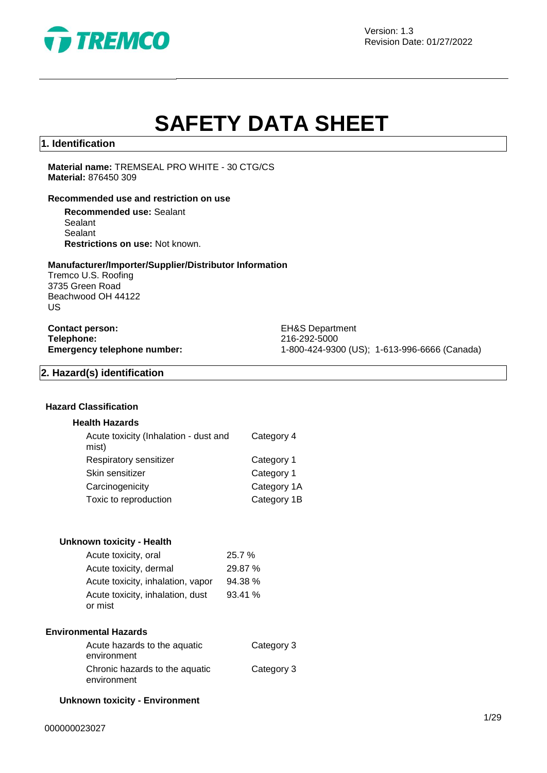

Version: 1.3 Revision Date: 01/27/2022

# **SAFETY DATA SHEET**

#### **1. Identification**

**Material name:** TREMSEAL PRO WHITE - 30 CTG/CS **Material:** 876450 309

#### **Recommended use and restriction on use**

**Recommended use:** Sealant **Sealant** Sealant **Restrictions on use:** Not known.

#### **Manufacturer/Importer/Supplier/Distributor Information**

Tremco U.S. Roofing 3735 Green Road Beachwood OH 44122 US

**Contact person:** EH&S Department **Telephone:** 216-292-5000<br> **Emergency telephone number:** 216-292-5000<br>
21-800-424-930

**Emergency telephone number:** 1-800-424-9300 (US); 1-613-996-6666 (Canada)

#### **2. Hazard(s) identification**

#### **Hazard Classification**

#### **Health Hazards**

| Acute toxicity (Inhalation - dust and<br>mist) | Category 4  |
|------------------------------------------------|-------------|
| Respiratory sensitizer                         | Category 1  |
| Skin sensitizer                                | Category 1  |
| Carcinogenicity                                | Category 1A |
| Toxic to reproduction                          | Category 1B |
|                                                |             |

#### **Unknown toxicity - Health**

| Acute toxicity, oral              | 25.7 %  |
|-----------------------------------|---------|
| Acute toxicity, dermal            | 29.87 % |
| Acute toxicity, inhalation, vapor | 94.38 % |
| Acute toxicity, inhalation, dust  | 93.41%  |
| or mist                           |         |

#### **Environmental Hazards**

| Acute hazards to the aquatic   | Category 3 |
|--------------------------------|------------|
| environment                    |            |
| Chronic hazards to the aquatic | Category 3 |
| environment                    |            |

#### **Unknown toxicity - Environment**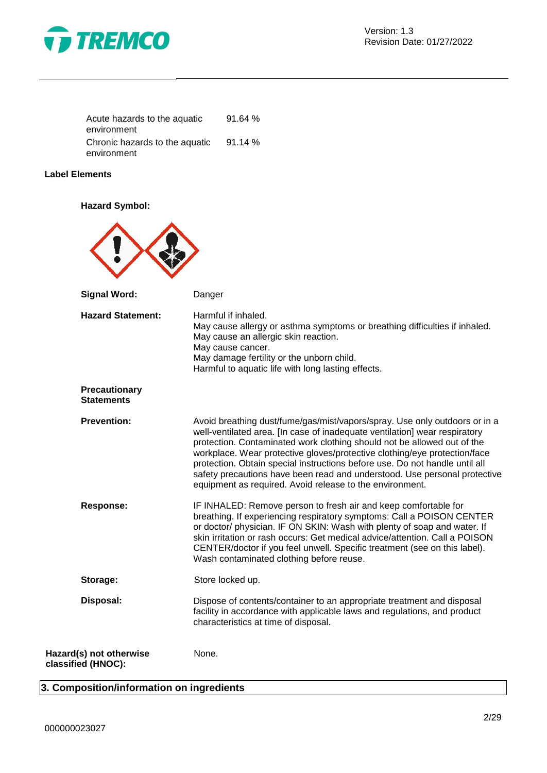

| Acute hazards to the aquatic   | 91.64% |
|--------------------------------|--------|
| environment                    |        |
| Chronic hazards to the aquatic | 91.14% |
| environment                    |        |

### **Label Elements**

**Hazard Symbol:**

| <b>Signal Word:</b>                           | Danger                                                                                                                                                                                                                                                                                                                                                                                                                                                                                                                                   |
|-----------------------------------------------|------------------------------------------------------------------------------------------------------------------------------------------------------------------------------------------------------------------------------------------------------------------------------------------------------------------------------------------------------------------------------------------------------------------------------------------------------------------------------------------------------------------------------------------|
| <b>Hazard Statement:</b>                      | Harmful if inhaled.<br>May cause allergy or asthma symptoms or breathing difficulties if inhaled.<br>May cause an allergic skin reaction.<br>May cause cancer.<br>May damage fertility or the unborn child.<br>Harmful to aquatic life with long lasting effects.                                                                                                                                                                                                                                                                        |
| Precautionary<br><b>Statements</b>            |                                                                                                                                                                                                                                                                                                                                                                                                                                                                                                                                          |
| <b>Prevention:</b>                            | Avoid breathing dust/fume/gas/mist/vapors/spray. Use only outdoors or in a<br>well-ventilated area. [In case of inadequate ventilation] wear respiratory<br>protection. Contaminated work clothing should not be allowed out of the<br>workplace. Wear protective gloves/protective clothing/eye protection/face<br>protection. Obtain special instructions before use. Do not handle until all<br>safety precautions have been read and understood. Use personal protective<br>equipment as required. Avoid release to the environment. |
| Response:                                     | IF INHALED: Remove person to fresh air and keep comfortable for<br>breathing. If experiencing respiratory symptoms: Call a POISON CENTER<br>or doctor/ physician. IF ON SKIN: Wash with plenty of soap and water. If<br>skin irritation or rash occurs: Get medical advice/attention. Call a POISON<br>CENTER/doctor if you feel unwell. Specific treatment (see on this label).<br>Wash contaminated clothing before reuse.                                                                                                             |
| Storage:                                      | Store locked up.                                                                                                                                                                                                                                                                                                                                                                                                                                                                                                                         |
| Disposal:                                     | Dispose of contents/container to an appropriate treatment and disposal<br>facility in accordance with applicable laws and regulations, and product<br>characteristics at time of disposal.                                                                                                                                                                                                                                                                                                                                               |
| Hazard(s) not otherwise<br>classified (HNOC): | None.                                                                                                                                                                                                                                                                                                                                                                                                                                                                                                                                    |

# **3. Composition/information on ingredients**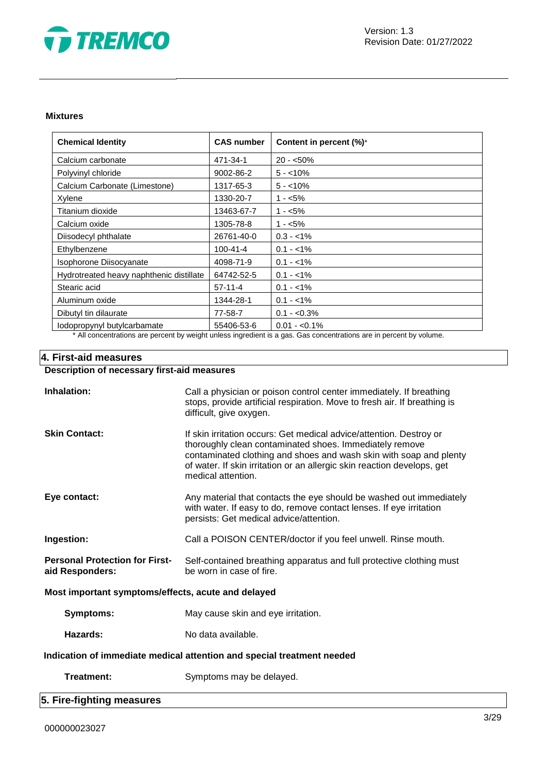

#### **Mixtures**

| <b>Chemical Identity</b>                                                                                            | <b>CAS number</b> | Content in percent (%)* |
|---------------------------------------------------------------------------------------------------------------------|-------------------|-------------------------|
| Calcium carbonate                                                                                                   | 471-34-1          | $20 - 50\%$             |
| Polyvinyl chloride                                                                                                  | 9002-86-2         | $5 - 10\%$              |
| Calcium Carbonate (Limestone)                                                                                       | 1317-65-3         | $5 - 10\%$              |
| Xylene                                                                                                              | 1330-20-7         | $1 - 5\%$               |
| Titanium dioxide                                                                                                    | 13463-67-7        | $1 - 5\%$               |
| Calcium oxide                                                                                                       | 1305-78-8         | $1 - 5%$                |
| Diisodecyl phthalate                                                                                                | 26761-40-0        | $0.3 - 1\%$             |
| Ethylbenzene                                                                                                        | 100-41-4          | $0.1 - 1\%$             |
| Isophorone Diisocyanate                                                                                             | 4098-71-9         | $0.1 - 1\%$             |
| Hydrotreated heavy naphthenic distillate                                                                            | 64742-52-5        | $0.1 - 1\%$             |
| Stearic acid                                                                                                        | $57-11-4$         | $0.1 - 1\%$             |
| Aluminum oxide                                                                                                      | 1344-28-1         | $0.1 - 1\%$             |
| Dibutyl tin dilaurate                                                                                               | 77-58-7           | $0.1 - 0.3\%$           |
| lodopropynyl butylcarbamate                                                                                         | 55406-53-6        | $0.01 - 0.1\%$          |
| * All concentrations are percent by weight unless ingredient is a gas. Gas concentrations are in percent by volume. |                   |                         |

## **4. First-aid measures**

# **Description of necessary first-aid measures**

| Inhalation:                                                            | Call a physician or poison control center immediately. If breathing<br>stops, provide artificial respiration. Move to fresh air. If breathing is<br>difficult, give oxygen.                                                                                                                           |  |  |
|------------------------------------------------------------------------|-------------------------------------------------------------------------------------------------------------------------------------------------------------------------------------------------------------------------------------------------------------------------------------------------------|--|--|
| <b>Skin Contact:</b>                                                   | If skin irritation occurs: Get medical advice/attention. Destroy or<br>thoroughly clean contaminated shoes. Immediately remove<br>contaminated clothing and shoes and wash skin with soap and plenty<br>of water. If skin irritation or an allergic skin reaction develops, get<br>medical attention. |  |  |
| Eye contact:                                                           | Any material that contacts the eye should be washed out immediately<br>with water. If easy to do, remove contact lenses. If eye irritation<br>persists: Get medical advice/attention.                                                                                                                 |  |  |
| Ingestion:                                                             | Call a POISON CENTER/doctor if you feel unwell. Rinse mouth.                                                                                                                                                                                                                                          |  |  |
| <b>Personal Protection for First-</b><br>aid Responders:               | Self-contained breathing apparatus and full protective clothing must<br>be worn in case of fire.                                                                                                                                                                                                      |  |  |
| Most important symptoms/effects, acute and delayed                     |                                                                                                                                                                                                                                                                                                       |  |  |
| <b>Symptoms:</b>                                                       | May cause skin and eye irritation.                                                                                                                                                                                                                                                                    |  |  |
| Hazards:                                                               | No data available.                                                                                                                                                                                                                                                                                    |  |  |
| Indication of immediate medical attention and special treatment needed |                                                                                                                                                                                                                                                                                                       |  |  |
| <b>Treatment:</b>                                                      | Symptoms may be delayed.                                                                                                                                                                                                                                                                              |  |  |
| 5. Fire-fighting measures                                              |                                                                                                                                                                                                                                                                                                       |  |  |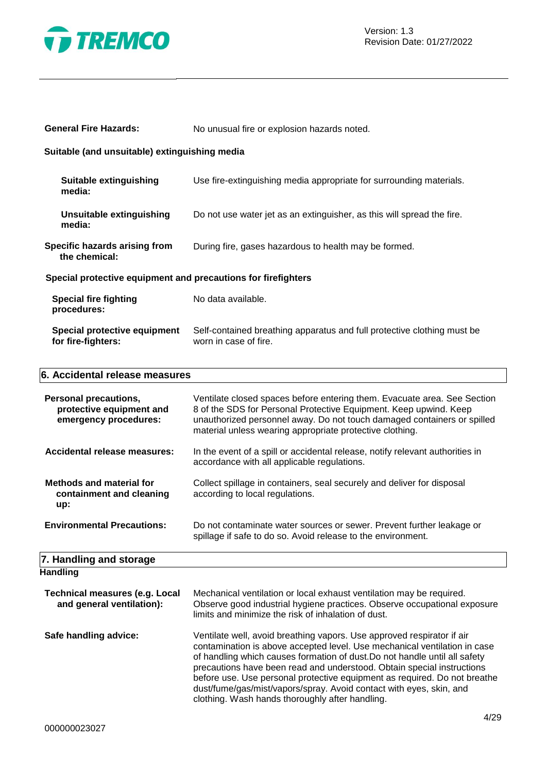

| <b>General Fire Hazards:</b>                                                      | No unusual fire or explosion hazards noted.                                                                                                                                                                                                                                          |  |  |
|-----------------------------------------------------------------------------------|--------------------------------------------------------------------------------------------------------------------------------------------------------------------------------------------------------------------------------------------------------------------------------------|--|--|
| Suitable (and unsuitable) extinguishing media                                     |                                                                                                                                                                                                                                                                                      |  |  |
| <b>Suitable extinguishing</b><br>media:                                           | Use fire-extinguishing media appropriate for surrounding materials.                                                                                                                                                                                                                  |  |  |
| <b>Unsuitable extinguishing</b><br>media:                                         | Do not use water jet as an extinguisher, as this will spread the fire.                                                                                                                                                                                                               |  |  |
| Specific hazards arising from<br>the chemical:                                    | During fire, gases hazardous to health may be formed.                                                                                                                                                                                                                                |  |  |
| Special protective equipment and precautions for firefighters                     |                                                                                                                                                                                                                                                                                      |  |  |
| <b>Special fire fighting</b><br>procedures:                                       | No data available.                                                                                                                                                                                                                                                                   |  |  |
| Special protective equipment<br>for fire-fighters:                                | Self-contained breathing apparatus and full protective clothing must be<br>worn in case of fire.                                                                                                                                                                                     |  |  |
| 6. Accidental release measures                                                    |                                                                                                                                                                                                                                                                                      |  |  |
| <b>Personal precautions,</b><br>protective equipment and<br>emergency procedures: | Ventilate closed spaces before entering them. Evacuate area. See Section<br>8 of the SDS for Personal Protective Equipment. Keep upwind. Keep<br>unauthorized personnel away. Do not touch damaged containers or spilled<br>material unless wearing appropriate protective clothing. |  |  |

**Accidental release measures:** In the event of a spill or accidental release, notify relevant authorities in

according to local regulations.

accordance with all applicable regulations.

Collect spillage in containers, seal securely and deliver for disposal

Do not contaminate water sources or sewer. Prevent further leakage or

spillage if safe to do so. Avoid release to the environment.

| <b>Environmental Precautions:</b> |  |
|-----------------------------------|--|
|                                   |  |
|                                   |  |

#### **7. Handling and storage Handling**

**Methods and material for containment and cleaning** 

**up:**

| <b>Technical measures (e.g. Local</b><br>and general ventilation): | Mechanical ventilation or local exhaust ventilation may be required.<br>Observe good industrial hygiene practices. Observe occupational exposure<br>limits and minimize the risk of inhalation of dust.                                                                                                                                                                                                                                                                                                            |
|--------------------------------------------------------------------|--------------------------------------------------------------------------------------------------------------------------------------------------------------------------------------------------------------------------------------------------------------------------------------------------------------------------------------------------------------------------------------------------------------------------------------------------------------------------------------------------------------------|
| Safe handling advice:                                              | Ventilate well, avoid breathing vapors. Use approved respirator if air<br>contamination is above accepted level. Use mechanical ventilation in case<br>of handling which causes formation of dust. Do not handle until all safety<br>precautions have been read and understood. Obtain special instructions<br>before use. Use personal protective equipment as required. Do not breathe<br>dust/fume/gas/mist/vapors/spray. Avoid contact with eyes, skin, and<br>clothing. Wash hands thoroughly after handling. |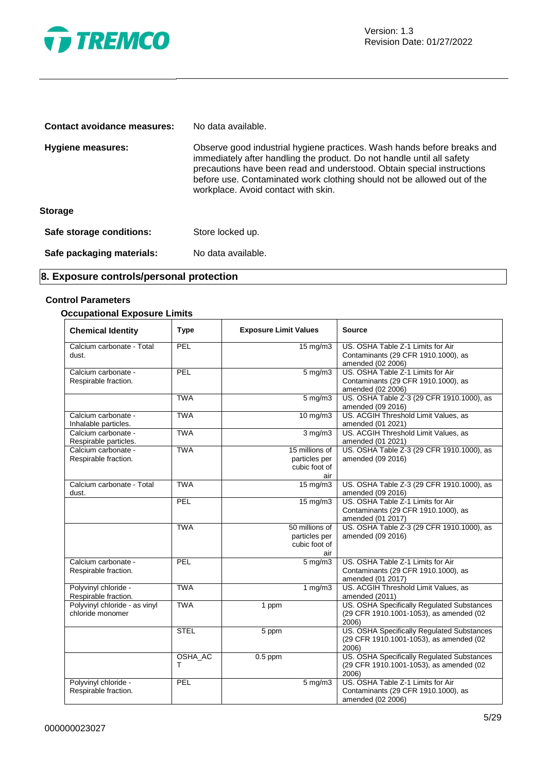

| Contact avoidance measures: | No data available.                                                                                                                                                                                                                                                                                                                            |
|-----------------------------|-----------------------------------------------------------------------------------------------------------------------------------------------------------------------------------------------------------------------------------------------------------------------------------------------------------------------------------------------|
| Hygiene measures:           | Observe good industrial hygiene practices. Wash hands before breaks and<br>immediately after handling the product. Do not handle until all safety<br>precautions have been read and understood. Obtain special instructions<br>before use. Contaminated work clothing should not be allowed out of the<br>workplace. Avoid contact with skin. |
| <b>Storage</b>              |                                                                                                                                                                                                                                                                                                                                               |
| Safe storage conditions:    | Store locked up.                                                                                                                                                                                                                                                                                                                              |
| Safe packaging materials:   | No data available.                                                                                                                                                                                                                                                                                                                            |

# **8. Exposure controls/personal protection**

#### **Control Parameters**

#### **Occupational Exposure Limits**

| <b>Chemical Identity</b>                          | <b>Type</b>  | <b>Exposure Limit Values</b>                            | <b>Source</b>                                                                                  |
|---------------------------------------------------|--------------|---------------------------------------------------------|------------------------------------------------------------------------------------------------|
| Calcium carbonate - Total<br>dust.                | PEL          | $15 \text{ mg/m}$                                       | US. OSHA Table Z-1 Limits for Air<br>Contaminants (29 CFR 1910.1000), as<br>amended (02 2006)  |
| Calcium carbonate -<br>Respirable fraction.       | PEL          | $5$ mg/m $3$                                            | US. OSHA Table Z-1 Limits for Air<br>Contaminants (29 CFR 1910.1000), as<br>amended (02 2006)  |
|                                                   | <b>TWA</b>   | $5$ mg/m $3$                                            | US. OSHA Table Z-3 (29 CFR 1910.1000), as<br>amended (09 2016)                                 |
| Calcium carbonate -<br>Inhalable particles.       | <b>TWA</b>   | $10 \text{ mg/m}$                                       | US. ACGIH Threshold Limit Values, as<br>amended (01 2021)                                      |
| Calcium carbonate -<br>Respirable particles.      | <b>TWA</b>   | $3 \overline{\mathrm{mg}}$ m3                           | US. ACGIH Threshold Limit Values, as<br>amended (01 2021)                                      |
| Calcium carbonate -<br>Respirable fraction.       | <b>TWA</b>   | 15 millions of<br>particles per<br>cubic foot of<br>air | US. OSHA Table Z-3 (29 CFR 1910.1000), as<br>amended (09 2016)                                 |
| Calcium carbonate - Total<br>dust.                | <b>TWA</b>   | 15 mg/m3                                                | US. OSHA Table Z-3 (29 CFR 1910.1000), as<br>amended (09 2016)                                 |
|                                                   | PEL          | $15 \text{ mg/m}$                                       | US. OSHA Table Z-1 Limits for Air<br>Contaminants (29 CFR 1910.1000), as<br>amended (01 2017)  |
|                                                   | <b>TWA</b>   | 50 millions of<br>particles per<br>cubic foot of<br>air | US. OSHA Table Z-3 (29 CFR 1910.1000), as<br>amended (09 2016)                                 |
| Calcium carbonate -<br>Respirable fraction.       | PEL          | $5 \text{ mg/m}$                                        | US. OSHA Table Z-1 Limits for Air<br>Contaminants (29 CFR 1910.1000), as<br>amended (01 2017)  |
| Polyvinyl chloride -<br>Respirable fraction.      | <b>TWA</b>   | 1 $mg/m3$                                               | US. ACGIH Threshold Limit Values, as<br>amended (2011)                                         |
| Polyvinyl chloride - as vinyl<br>chloride monomer | <b>TWA</b>   | 1 ppm                                                   | US. OSHA Specifically Regulated Substances<br>(29 CFR 1910.1001-1053), as amended (02<br>2006) |
|                                                   | <b>STEL</b>  | 5 ppm                                                   | US. OSHA Specifically Regulated Substances<br>(29 CFR 1910.1001-1053), as amended (02<br>2006) |
|                                                   | OSHA_AC<br>т | $0.5$ ppm                                               | US. OSHA Specifically Regulated Substances<br>(29 CFR 1910.1001-1053), as amended (02<br>2006) |
| Polyvinyl chloride -<br>Respirable fraction.      | PEL          | $5 \text{ mg/m}$                                        | US. OSHA Table Z-1 Limits for Air<br>Contaminants (29 CFR 1910.1000), as<br>amended (02 2006)  |

 $\overline{\phantom{0}}$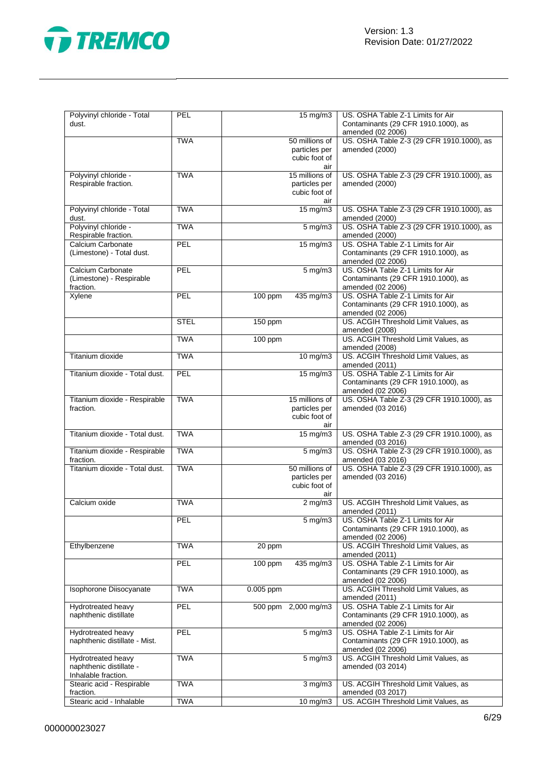

| Polyvinyl chloride - Total<br>dust.                                  | <b>PEL</b>  | 15 mg/m3                                                | US. OSHA Table Z-1 Limits for Air<br>Contaminants (29 CFR 1910.1000), as<br>amended (02 2006) |
|----------------------------------------------------------------------|-------------|---------------------------------------------------------|-----------------------------------------------------------------------------------------------|
|                                                                      | <b>TWA</b>  | 50 millions of<br>particles per<br>cubic foot of<br>air | US. OSHA Table Z-3 (29 CFR 1910.1000), as<br>amended (2000)                                   |
| Polyvinyl chloride -<br>Respirable fraction.                         | <b>TWA</b>  | 15 millions of<br>particles per<br>cubic foot of<br>air | US. OSHA Table Z-3 (29 CFR 1910.1000), as<br>amended (2000)                                   |
| Polyvinyl chloride - Total<br>dust.                                  | <b>TWA</b>  | 15 mg/m3                                                | US. OSHA Table Z-3 (29 CFR 1910.1000), as<br>amended (2000)                                   |
| Polyvinyl chloride -<br>Respirable fraction.                         | <b>TWA</b>  | $5 \,\mathrm{mg/m}$                                     | US. OSHA Table Z-3 (29 CFR 1910.1000), as<br>amended (2000)                                   |
| Calcium Carbonate<br>(Limestone) - Total dust.                       | PEL         | 15 mg/m3                                                | US. OSHA Table Z-1 Limits for Air<br>Contaminants (29 CFR 1910.1000), as<br>amended (02 2006) |
| Calcium Carbonate<br>(Limestone) - Respirable<br>fraction.           | PEL         | $5 \text{ mg/m}$                                        | US. OSHA Table Z-1 Limits for Air<br>Contaminants (29 CFR 1910.1000), as<br>amended (02 2006) |
| Xylene                                                               | PEL         | 100 ppm<br>435 mg/m3                                    | US. OSHA Table Z-1 Limits for Air<br>Contaminants (29 CFR 1910.1000), as<br>amended (02 2006) |
|                                                                      | <b>STEL</b> | 150 ppm                                                 | US. ACGIH Threshold Limit Values, as<br>amended (2008)                                        |
|                                                                      | <b>TWA</b>  | 100 ppm                                                 | US. ACGIH Threshold Limit Values, as<br>amended (2008)                                        |
| Titanium dioxide                                                     | <b>TWA</b>  | $10$ mg/m $3$                                           | US. ACGIH Threshold Limit Values, as<br>amended (2011)                                        |
| Titanium dioxide - Total dust.                                       | PEL         | $15 \text{ mg/m}$                                       | US. OSHA Table Z-1 Limits for Air<br>Contaminants (29 CFR 1910.1000), as<br>amended (02 2006) |
| Titanium dioxide - Respirable<br>fraction.                           | <b>TWA</b>  | 15 millions of<br>particles per<br>cubic foot of<br>air | US. OSHA Table Z-3 (29 CFR 1910.1000), as<br>amended (03 2016)                                |
| Titanium dioxide - Total dust.                                       | <b>TWA</b>  | $15 \text{ mg/m}$                                       | US. OSHA Table Z-3 (29 CFR 1910.1000), as<br>amended (03 2016)                                |
| Titanium dioxide - Respirable<br>fraction.                           | <b>TWA</b>  | 5 mg/m3                                                 | US. OSHA Table Z-3 (29 CFR 1910.1000), as<br>amended (03 2016)                                |
| Titanium dioxide - Total dust.                                       | <b>TWA</b>  | 50 millions of<br>particles per<br>cubic foot of<br>air | US. OSHA Table Z-3 (29 CFR 1910.1000), as<br>amended (03 2016)                                |
| Calcium oxide                                                        | <b>TWA</b>  | $2 \overline{\text{mg}}$ m3                             | US. ACGIH Threshold Limit Values, as<br>amended (2011)                                        |
|                                                                      | <b>PEL</b>  | $5 \text{ mg/m}$                                        | US. OSHA Table Z-1 Limits for Air<br>Contaminants (29 CFR 1910.1000), as<br>amended (02 2006) |
| Ethylbenzene                                                         | <b>TWA</b>  | 20 ppm                                                  | US. ACGIH Threshold Limit Values, as<br>amended (2011)                                        |
|                                                                      | PEL         | 100 ppm<br>435 mg/m3                                    | US. OSHA Table Z-1 Limits for Air<br>Contaminants (29 CFR 1910.1000), as<br>amended (02 2006) |
| Isophorone Diisocyanate                                              | <b>TWA</b>  | 0.005 ppm                                               | US. ACGIH Threshold Limit Values, as<br>amended (2011)                                        |
| Hydrotreated heavy<br>naphthenic distillate                          | PEL         | 500 ppm 2,000 mg/m3                                     | US. OSHA Table Z-1 Limits for Air<br>Contaminants (29 CFR 1910.1000), as<br>amended (02 2006) |
| Hydrotreated heavy<br>naphthenic distillate - Mist.                  | PEL         | $5 \text{ mg/m}$                                        | US. OSHA Table Z-1 Limits for Air<br>Contaminants (29 CFR 1910.1000), as<br>amended (02 2006) |
| Hydrotreated heavy<br>naphthenic distillate -<br>Inhalable fraction. | <b>TWA</b>  | $5 \overline{\mathrm{mg}}$ m3                           | US. ACGIH Threshold Limit Values, as<br>amended (03 2014)                                     |
| Stearic acid - Respirable<br>fraction.                               | <b>TWA</b>  | $3$ mg/m $3$                                            | US. ACGIH Threshold Limit Values, as<br>amended (03 2017)                                     |
| Stearic acid - Inhalable                                             | <b>TWA</b>  | $10 \text{ mg/m}$                                       | US. ACGIH Threshold Limit Values, as                                                          |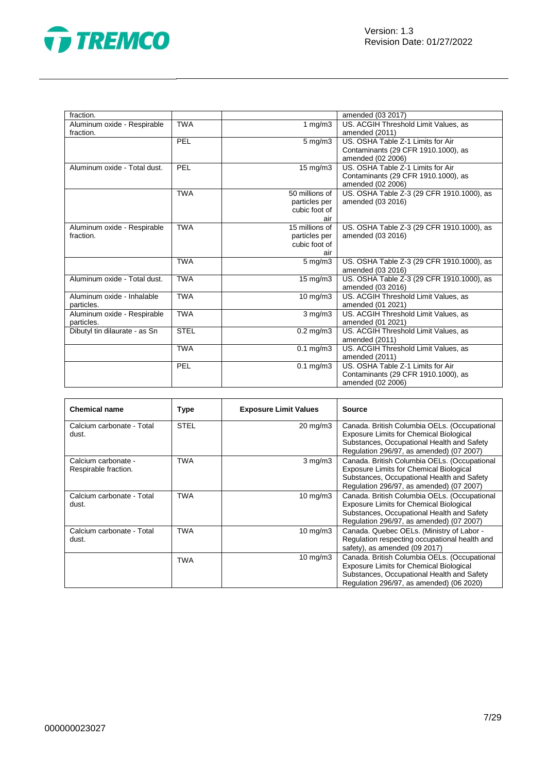



| fraction.                     |             |                                | amended (03 2017)                         |
|-------------------------------|-------------|--------------------------------|-------------------------------------------|
| Aluminum oxide - Respirable   | <b>TWA</b>  | 1 $mg/m3$                      | US. ACGIH Threshold Limit Values, as      |
| fraction.                     |             |                                | amended (2011)                            |
|                               | PEL         | $\overline{5 \text{ mg}}$ /m3  | US. OSHA Table Z-1 Limits for Air         |
|                               |             |                                | Contaminants (29 CFR 1910.1000), as       |
|                               |             |                                | amended (02 2006)                         |
| Aluminum oxide - Total dust.  | PEL         | $15 \text{ mg/m}$              | US. OSHA Table Z-1 Limits for Air         |
|                               |             |                                | Contaminants (29 CFR 1910.1000), as       |
|                               |             |                                | amended (02 2006)                         |
|                               | <b>TWA</b>  | 50 millions of                 | US. OSHA Table Z-3 (29 CFR 1910.1000), as |
|                               |             | particles per                  | amended (03 2016)                         |
|                               |             | cubic foot of                  |                                           |
|                               |             | air                            |                                           |
| Aluminum oxide - Respirable   | <b>TWA</b>  | 15 millions of                 | US. OSHA Table Z-3 (29 CFR 1910.1000), as |
| fraction.                     |             | particles per                  | amended (03 2016)                         |
|                               |             | cubic foot of                  |                                           |
|                               |             | air                            |                                           |
|                               | <b>TWA</b>  | $5 \text{ mg/m}$               | US. OSHA Table Z-3 (29 CFR 1910.1000), as |
|                               |             |                                | amended (03 2016)                         |
| Aluminum oxide - Total dust.  | <b>TWA</b>  | $15 \overline{\mathrm{mg}}$ m3 | US. OSHA Table Z-3 (29 CFR 1910.1000), as |
|                               |             |                                | amended (03 2016)                         |
| Aluminum oxide - Inhalable    | <b>TWA</b>  | $\overline{10}$ mg/m3          | US. ACGIH Threshold Limit Values, as      |
| particles.                    |             |                                | amended (01 2021)                         |
| Aluminum oxide - Respirable   | <b>TWA</b>  | $3$ mg/m $3$                   | US. ACGIH Threshold Limit Values, as      |
| particles.                    |             |                                | amended (01 2021)                         |
| Dibutyl tin dilaurate - as Sn | <b>STEL</b> | $0.2$ mg/m3                    | US. ACGIH Threshold Limit Values, as      |
|                               |             |                                | amended (2011)                            |
|                               | <b>TWA</b>  | $0.1$ mg/m $3$                 | US. ACGIH Threshold Limit Values, as      |
|                               |             |                                | amended (2011)                            |
|                               | PEL         | $0.1$ mg/m $3$                 | US. OSHA Table Z-1 Limits for Air         |
|                               |             |                                | Contaminants (29 CFR 1910.1000), as       |
|                               |             |                                | amended (02 2006)                         |

| <b>Chemical name</b>                        | Type        | <b>Exposure Limit Values</b> | <b>Source</b>                                                                                                                                                                            |
|---------------------------------------------|-------------|------------------------------|------------------------------------------------------------------------------------------------------------------------------------------------------------------------------------------|
| Calcium carbonate - Total<br>dust.          | <b>STEL</b> | $20 \text{ mg/m}$ 3          | Canada. British Columbia OELs. (Occupational<br><b>Exposure Limits for Chemical Biological</b><br>Substances, Occupational Health and Safety<br>Regulation 296/97, as amended) (07 2007) |
| Calcium carbonate -<br>Respirable fraction. | TWA         | $3$ mg/m $3$                 | Canada. British Columbia OELs. (Occupational<br><b>Exposure Limits for Chemical Biological</b><br>Substances, Occupational Health and Safety<br>Regulation 296/97, as amended) (07 2007) |
| Calcium carbonate - Total<br>dust.          | TWA         | $10 \text{ mg/m}$            | Canada. British Columbia OELs. (Occupational<br><b>Exposure Limits for Chemical Biological</b><br>Substances, Occupational Health and Safety<br>Regulation 296/97, as amended) (07 2007) |
| Calcium carbonate - Total<br>dust.          | TWA         | $10 \text{ mg/m}$            | Canada. Quebec OELs. (Ministry of Labor -<br>Regulation respecting occupational health and<br>safety), as amended (09 2017)                                                              |
|                                             | TWA         | 10 mg/m $3$                  | Canada. British Columbia OELs. (Occupational<br><b>Exposure Limits for Chemical Biological</b><br>Substances, Occupational Health and Safety<br>Regulation 296/97, as amended) (06 2020) |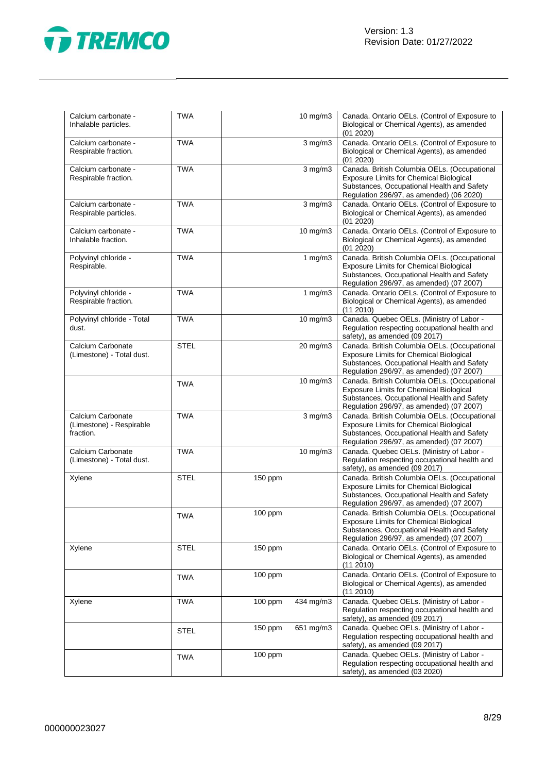

| Calcium carbonate -<br>Inhalable particles.                | <b>TWA</b>  |           | 10 mg/m3     | Canada. Ontario OELs. (Control of Exposure to<br>Biological or Chemical Agents), as amended<br>(01 2020)                                                                                 |
|------------------------------------------------------------|-------------|-----------|--------------|------------------------------------------------------------------------------------------------------------------------------------------------------------------------------------------|
| Calcium carbonate -<br>Respirable fraction.                | <b>TWA</b>  |           | $3$ mg/m $3$ | Canada. Ontario OELs. (Control of Exposure to<br>Biological or Chemical Agents), as amended<br>(01 2020)                                                                                 |
| Calcium carbonate -<br>Respirable fraction.                | <b>TWA</b>  |           | $3$ mg/m $3$ | Canada. British Columbia OELs. (Occupational<br><b>Exposure Limits for Chemical Biological</b><br>Substances, Occupational Health and Safety<br>Regulation 296/97, as amended) (06 2020) |
| Calcium carbonate -<br>Respirable particles.               | <b>TWA</b>  |           | $3$ mg/m $3$ | Canada. Ontario OELs. (Control of Exposure to<br>Biological or Chemical Agents), as amended<br>(01 2020)                                                                                 |
| Calcium carbonate -<br>Inhalable fraction.                 | <b>TWA</b>  |           | 10 mg/m3     | Canada. Ontario OELs. (Control of Exposure to<br>Biological or Chemical Agents), as amended<br>(01 2020)                                                                                 |
| Polyvinyl chloride -<br>Respirable.                        | <b>TWA</b>  |           | 1 $mg/m3$    | Canada. British Columbia OELs. (Occupational<br><b>Exposure Limits for Chemical Biological</b><br>Substances, Occupational Health and Safety<br>Regulation 296/97, as amended) (07 2007) |
| Polyvinyl chloride -<br>Respirable fraction.               | <b>TWA</b>  |           | 1 $mg/m3$    | Canada. Ontario OELs. (Control of Exposure to<br>Biological or Chemical Agents), as amended<br>(11 2010)                                                                                 |
| Polyvinyl chloride - Total<br>dust.                        | <b>TWA</b>  |           | 10 mg/m3     | Canada. Quebec OELs. (Ministry of Labor -<br>Regulation respecting occupational health and<br>safety), as amended (09 2017)                                                              |
| Calcium Carbonate<br>(Limestone) - Total dust.             | <b>STEL</b> |           | 20 mg/m3     | Canada. British Columbia OELs. (Occupational<br><b>Exposure Limits for Chemical Biological</b><br>Substances, Occupational Health and Safety<br>Regulation 296/97, as amended) (07 2007) |
|                                                            | <b>TWA</b>  |           | 10 mg/m3     | Canada. British Columbia OELs. (Occupational<br>Exposure Limits for Chemical Biological<br>Substances, Occupational Health and Safety<br>Regulation 296/97, as amended) (07 2007)        |
| Calcium Carbonate<br>(Limestone) - Respirable<br>fraction. | <b>TWA</b>  |           | $3$ mg/m $3$ | Canada. British Columbia OELs. (Occupational<br><b>Exposure Limits for Chemical Biological</b><br>Substances, Occupational Health and Safety<br>Regulation 296/97, as amended) (07 2007) |
| Calcium Carbonate<br>(Limestone) - Total dust.             | <b>TWA</b>  |           | 10 mg/m3     | Canada. Quebec OELs. (Ministry of Labor -<br>Regulation respecting occupational health and<br>safety), as amended (09 2017)                                                              |
| Xylene                                                     | <b>STEL</b> | 150 ppm   |              | Canada. British Columbia OELs. (Occupational<br><b>Exposure Limits for Chemical Biological</b><br>Substances, Occupational Health and Safety<br>Regulation 296/97, as amended) (07 2007) |
|                                                            | <b>TWA</b>  | 100 ppm   |              | Canada. British Columbia OELs. (Occupational<br>Exposure Limits for Chemical Biological<br>Substances, Occupational Health and Safety<br>Regulation 296/97, as amended) (07 2007)        |
| Xylene                                                     | <b>STEL</b> | 150 ppm   |              | Canada. Ontario OELs. (Control of Exposure to<br>Biological or Chemical Agents), as amended<br>(11 2010)                                                                                 |
|                                                            | <b>TWA</b>  | 100 ppm   |              | Canada. Ontario OELs. (Control of Exposure to<br>Biological or Chemical Agents), as amended<br>(11 2010)                                                                                 |
| Xylene                                                     | <b>TWA</b>  | $100$ ppm | 434 mg/m3    | Canada. Quebec OELs. (Ministry of Labor -<br>Regulation respecting occupational health and<br>safety), as amended (09 2017)                                                              |
|                                                            | <b>STEL</b> | 150 ppm   | 651 mg/m3    | Canada. Quebec OELs. (Ministry of Labor -<br>Regulation respecting occupational health and<br>safety), as amended (09 2017)                                                              |
|                                                            | <b>TWA</b>  | 100 ppm   |              | Canada. Quebec OELs. (Ministry of Labor -<br>Regulation respecting occupational health and<br>safety), as amended (03 2020)                                                              |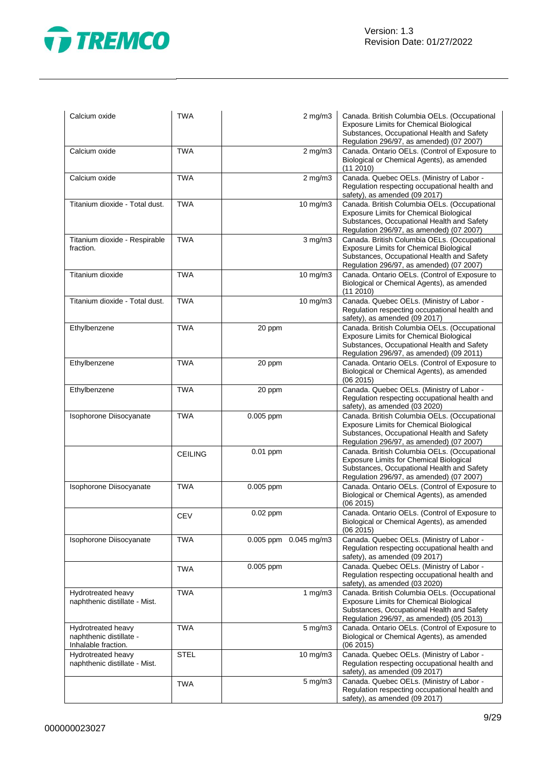

| Calcium oxide                                                        | <b>TWA</b>     | $2$ mg/m $3$          | Canada. British Columbia OELs. (Occupational<br><b>Exposure Limits for Chemical Biological</b><br>Substances, Occupational Health and Safety<br>Regulation 296/97, as amended) (07 2007) |
|----------------------------------------------------------------------|----------------|-----------------------|------------------------------------------------------------------------------------------------------------------------------------------------------------------------------------------|
| Calcium oxide                                                        | <b>TWA</b>     | $2$ mg/m $3$          | Canada. Ontario OELs. (Control of Exposure to<br>Biological or Chemical Agents), as amended<br>(112010)                                                                                  |
| Calcium oxide                                                        | <b>TWA</b>     | $2$ mg/m $3$          | Canada. Quebec OELs. (Ministry of Labor -<br>Regulation respecting occupational health and<br>safety), as amended (09 2017)                                                              |
| Titanium dioxide - Total dust.                                       | <b>TWA</b>     | 10 mg/m3              | Canada. British Columbia OELs. (Occupational<br><b>Exposure Limits for Chemical Biological</b><br>Substances, Occupational Health and Safety<br>Regulation 296/97, as amended) (07 2007) |
| Titanium dioxide - Respirable<br>fraction.                           | <b>TWA</b>     | $3$ mg/m $3$          | Canada. British Columbia OELs. (Occupational<br>Exposure Limits for Chemical Biological<br>Substances, Occupational Health and Safety<br>Regulation 296/97, as amended) (07 2007)        |
| Titanium dioxide                                                     | <b>TWA</b>     | $10 \text{ mg/m}$     | Canada. Ontario OELs. (Control of Exposure to<br>Biological or Chemical Agents), as amended<br>(11 2010)                                                                                 |
| Titanium dioxide - Total dust.                                       | <b>TWA</b>     | 10 mg/m3              | Canada. Quebec OELs. (Ministry of Labor -<br>Regulation respecting occupational health and<br>safety), as amended (09 2017)                                                              |
| Ethylbenzene                                                         | <b>TWA</b>     | 20 ppm                | Canada. British Columbia OELs. (Occupational<br><b>Exposure Limits for Chemical Biological</b><br>Substances, Occupational Health and Safety<br>Regulation 296/97, as amended) (09 2011) |
| Ethylbenzene                                                         | <b>TWA</b>     | 20 ppm                | Canada. Ontario OELs. (Control of Exposure to<br>Biological or Chemical Agents), as amended<br>(06 2015)                                                                                 |
| Ethylbenzene                                                         | <b>TWA</b>     | 20 ppm                | Canada. Quebec OELs. (Ministry of Labor -<br>Regulation respecting occupational health and<br>safety), as amended (03 2020)                                                              |
| Isophorone Diisocyanate                                              | <b>TWA</b>     | 0.005 ppm             | Canada. British Columbia OELs. (Occupational<br><b>Exposure Limits for Chemical Biological</b><br>Substances, Occupational Health and Safety<br>Regulation 296/97, as amended) (07 2007) |
|                                                                      | <b>CEILING</b> | 0.01 ppm              | Canada. British Columbia OELs. (Occupational<br><b>Exposure Limits for Chemical Biological</b><br>Substances, Occupational Health and Safety<br>Regulation 296/97, as amended) (07 2007) |
| Isophorone Diisocyanate                                              | <b>TWA</b>     | 0.005 ppm             | Canada. Ontario OELs. (Control of Exposure to<br>Biological or Chemical Agents), as amended<br>(06 2015)                                                                                 |
|                                                                      | <b>CEV</b>     | 0.02 ppm              | Canada. Ontario OELs. (Control of Exposure to<br>Biological or Chemical Agents), as amended<br>(06 2015)                                                                                 |
| Isophorone Diisocyanate                                              | <b>TWA</b>     | 0.005 ppm 0.045 mg/m3 | Canada. Quebec OELs. (Ministry of Labor -<br>Regulation respecting occupational health and<br>safety), as amended (09 2017)                                                              |
|                                                                      | <b>TWA</b>     | 0.005 ppm             | Canada. Quebec OELs. (Ministry of Labor -<br>Regulation respecting occupational health and<br>safety), as amended (03 2020)                                                              |
| Hydrotreated heavy<br>naphthenic distillate - Mist.                  | <b>TWA</b>     | 1 mg/m3               | Canada. British Columbia OELs. (Occupational<br><b>Exposure Limits for Chemical Biological</b><br>Substances, Occupational Health and Safety<br>Regulation 296/97, as amended) (05 2013) |
| Hydrotreated heavy<br>naphthenic distillate -<br>Inhalable fraction. | <b>TWA</b>     | 5 mg/m3               | Canada. Ontario OELs. (Control of Exposure to<br>Biological or Chemical Agents), as amended<br>(06 2015)                                                                                 |
| Hydrotreated heavy<br>naphthenic distillate - Mist.                  | <b>STEL</b>    | $10 \text{ mg/m}$     | Canada. Quebec OELs. (Ministry of Labor -<br>Regulation respecting occupational health and<br>safety), as amended (09 2017)                                                              |
|                                                                      | <b>TWA</b>     | 5 mg/m3               | Canada. Quebec OELs. (Ministry of Labor -<br>Regulation respecting occupational health and<br>safety), as amended (09 2017)                                                              |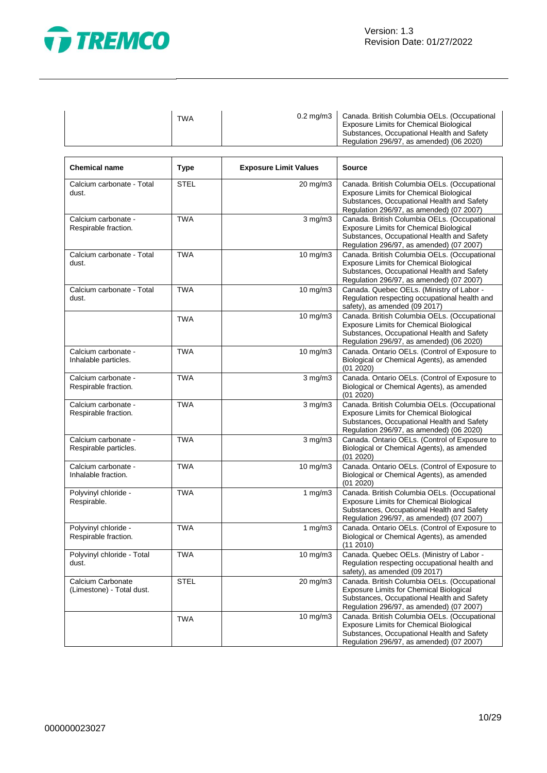

Ĭ

| <b>TWA</b><br><b>Exposure Limits for Chemical Biological</b><br>Regulation 296/97, as amended) (06 2020) |  | 0.2 mg/m3   Canada. British Columbia OELs. (Occupational<br>Substances, Occupational Health and Safety |
|----------------------------------------------------------------------------------------------------------|--|--------------------------------------------------------------------------------------------------------|
|----------------------------------------------------------------------------------------------------------|--|--------------------------------------------------------------------------------------------------------|

| <b>Chemical name</b>                           | <b>Type</b> | <b>Exposure Limit Values</b> | <b>Source</b>                                                                                                                                                                            |
|------------------------------------------------|-------------|------------------------------|------------------------------------------------------------------------------------------------------------------------------------------------------------------------------------------|
| Calcium carbonate - Total<br>dust.             | <b>STEL</b> | 20 mg/m3                     | Canada. British Columbia OELs. (Occupational<br><b>Exposure Limits for Chemical Biological</b><br>Substances, Occupational Health and Safety<br>Regulation 296/97, as amended) (07 2007) |
| Calcium carbonate -<br>Respirable fraction.    | <b>TWA</b>  | $3$ mg/m $3$                 | Canada. British Columbia OELs. (Occupational<br><b>Exposure Limits for Chemical Biological</b><br>Substances, Occupational Health and Safety<br>Regulation 296/97, as amended) (07 2007) |
| Calcium carbonate - Total<br>dust.             | <b>TWA</b>  | 10 mg/m3                     | Canada. British Columbia OELs. (Occupational<br><b>Exposure Limits for Chemical Biological</b><br>Substances, Occupational Health and Safety<br>Regulation 296/97, as amended) (07 2007) |
| Calcium carbonate - Total<br>dust.             | <b>TWA</b>  | 10 mg/m3                     | Canada. Quebec OELs. (Ministry of Labor -<br>Regulation respecting occupational health and<br>safety), as amended (09 2017)                                                              |
|                                                | <b>TWA</b>  | $10$ mg/m $3$                | Canada. British Columbia OELs. (Occupational<br><b>Exposure Limits for Chemical Biological</b><br>Substances, Occupational Health and Safety<br>Regulation 296/97, as amended) (06 2020) |
| Calcium carbonate -<br>Inhalable particles.    | <b>TWA</b>  | 10 mg/m3                     | Canada. Ontario OELs. (Control of Exposure to<br>Biological or Chemical Agents), as amended<br>(01 2020)                                                                                 |
| Calcium carbonate -<br>Respirable fraction.    | <b>TWA</b>  | $3$ mg/m $3$                 | Canada. Ontario OELs. (Control of Exposure to<br>Biological or Chemical Agents), as amended<br>(01 2020)                                                                                 |
| Calcium carbonate -<br>Respirable fraction.    | <b>TWA</b>  | $3$ mg/m $3$                 | Canada. British Columbia OELs. (Occupational<br><b>Exposure Limits for Chemical Biological</b><br>Substances, Occupational Health and Safety<br>Regulation 296/97, as amended) (06 2020) |
| Calcium carbonate -<br>Respirable particles.   | <b>TWA</b>  | $3$ mg/m $3$                 | Canada. Ontario OELs. (Control of Exposure to<br>Biological or Chemical Agents), as amended<br>(01 2020)                                                                                 |
| Calcium carbonate -<br>Inhalable fraction.     | <b>TWA</b>  | 10 mg/m3                     | Canada. Ontario OELs. (Control of Exposure to<br>Biological or Chemical Agents), as amended<br>(01 2020)                                                                                 |
| Polyvinyl chloride -<br>Respirable.            | <b>TWA</b>  | 1 $mg/m3$                    | Canada. British Columbia OELs. (Occupational<br><b>Exposure Limits for Chemical Biological</b><br>Substances, Occupational Health and Safety<br>Regulation 296/97, as amended) (07 2007) |
| Polyvinyl chloride -<br>Respirable fraction.   | <b>TWA</b>  | 1 $mg/m3$                    | Canada. Ontario OELs. (Control of Exposure to<br>Biological or Chemical Agents), as amended<br>(112010)                                                                                  |
| Polyvinyl chloride - Total<br>dust.            | <b>TWA</b>  | 10 mg/m3                     | Canada. Quebec OELs. (Ministry of Labor -<br>Regulation respecting occupational health and<br>safety), as amended (09 2017)                                                              |
| Calcium Carbonate<br>(Limestone) - Total dust. | <b>STEL</b> | 20 mg/m3                     | Canada. British Columbia OELs. (Occupational<br><b>Exposure Limits for Chemical Biological</b><br>Substances, Occupational Health and Safety<br>Regulation 296/97, as amended) (07 2007) |
|                                                | <b>TWA</b>  | 10 mg/m3                     | Canada. British Columbia OELs. (Occupational<br><b>Exposure Limits for Chemical Biological</b><br>Substances, Occupational Health and Safety<br>Regulation 296/97, as amended) (07 2007) |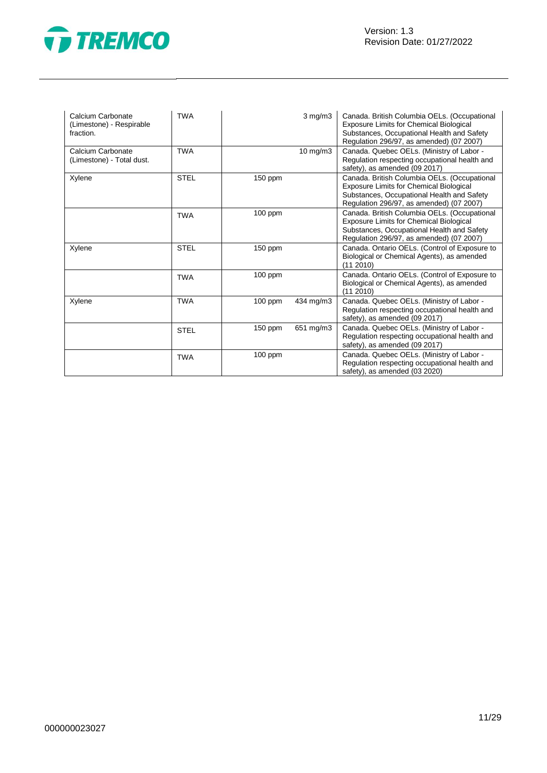



| Calcium Carbonate<br>(Limestone) - Respirable<br>fraction. | <b>TWA</b>  |           | $3 \text{ mg/m}$ | Canada. British Columbia OELs. (Occupational<br>Exposure Limits for Chemical Biological<br>Substances, Occupational Health and Safety<br>Regulation 296/97, as amended) (07 2007)        |
|------------------------------------------------------------|-------------|-----------|------------------|------------------------------------------------------------------------------------------------------------------------------------------------------------------------------------------|
| Calcium Carbonate<br>(Limestone) - Total dust.             | <b>TWA</b>  |           | 10 mg/m3         | Canada. Quebec OELs. (Ministry of Labor -<br>Regulation respecting occupational health and<br>safety), as amended (09 2017)                                                              |
| Xylene                                                     | <b>STEL</b> | $150$ ppm |                  | Canada. British Columbia OELs. (Occupational<br>Exposure Limits for Chemical Biological<br>Substances, Occupational Health and Safety<br>Regulation 296/97, as amended) (07 2007)        |
|                                                            | <b>TWA</b>  | $100$ ppm |                  | Canada. British Columbia OELs. (Occupational<br><b>Exposure Limits for Chemical Biological</b><br>Substances, Occupational Health and Safety<br>Regulation 296/97, as amended) (07 2007) |
| Xylene                                                     | <b>STEL</b> | $150$ ppm |                  | Canada. Ontario OELs. (Control of Exposure to<br>Biological or Chemical Agents), as amended<br>(11 2010)                                                                                 |
|                                                            | <b>TWA</b>  | $100$ ppm |                  | Canada. Ontario OELs. (Control of Exposure to<br>Biological or Chemical Agents), as amended<br>(112010)                                                                                  |
| Xylene                                                     | <b>TWA</b>  | 100 ppm   | 434 mg/m3        | Canada. Quebec OELs. (Ministry of Labor -<br>Regulation respecting occupational health and<br>safety), as amended (09 2017)                                                              |
|                                                            | <b>STEL</b> | $150$ ppm | 651 mg/m3        | Canada. Quebec OELs. (Ministry of Labor -<br>Regulation respecting occupational health and<br>safety), as amended (09 2017)                                                              |
|                                                            | <b>TWA</b>  | $100$ ppm |                  | Canada. Quebec OELs. (Ministry of Labor -<br>Regulation respecting occupational health and<br>safety), as amended (03 2020)                                                              |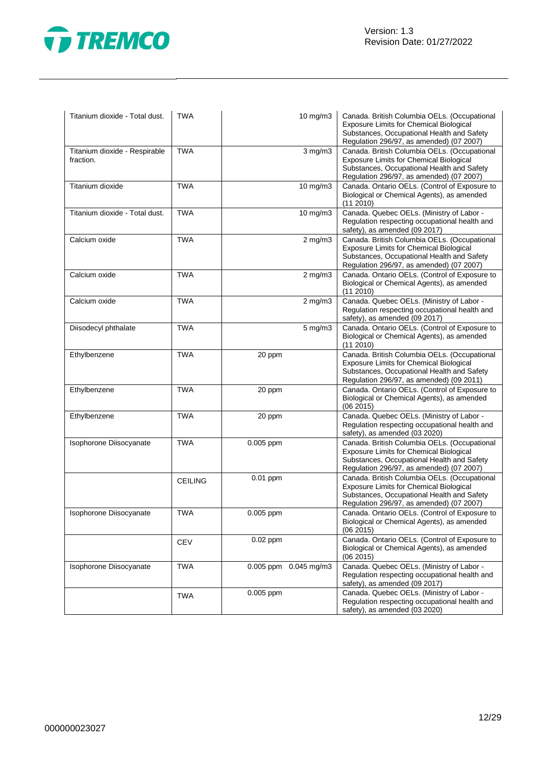

| Titanium dioxide - Total dust.             | <b>TWA</b>     |           | 10 mg/m3                  | Canada. British Columbia OELs. (Occupational<br><b>Exposure Limits for Chemical Biological</b><br>Substances, Occupational Health and Safety<br>Regulation 296/97, as amended) (07 2007) |
|--------------------------------------------|----------------|-----------|---------------------------|------------------------------------------------------------------------------------------------------------------------------------------------------------------------------------------|
| Titanium dioxide - Respirable<br>fraction. | <b>TWA</b>     |           | $3$ mg/m $3$              | Canada. British Columbia OELs. (Occupational<br><b>Exposure Limits for Chemical Biological</b><br>Substances, Occupational Health and Safety<br>Regulation 296/97, as amended) (07 2007) |
| Titanium dioxide                           | <b>TWA</b>     |           | 10 mg/m3                  | Canada. Ontario OELs. (Control of Exposure to<br>Biological or Chemical Agents), as amended<br>(112010)                                                                                  |
| Titanium dioxide - Total dust.             | <b>TWA</b>     |           | 10 mg/m3                  | Canada. Quebec OELs. (Ministry of Labor -<br>Regulation respecting occupational health and<br>safety), as amended (09 2017)                                                              |
| Calcium oxide                              | <b>TWA</b>     |           | $2$ mg/m $3$              | Canada. British Columbia OELs. (Occupational<br><b>Exposure Limits for Chemical Biological</b><br>Substances, Occupational Health and Safety<br>Regulation 296/97, as amended) (07 2007) |
| Calcium oxide                              | <b>TWA</b>     |           | $2$ mg/m $3$              | Canada. Ontario OELs. (Control of Exposure to<br>Biological or Chemical Agents), as amended<br>(11 2010)                                                                                 |
| Calcium oxide                              | <b>TWA</b>     |           | $2$ mg/m $3$              | Canada. Quebec OELs. (Ministry of Labor -<br>Regulation respecting occupational health and<br>safety), as amended (09 2017)                                                              |
| Diisodecyl phthalate                       | <b>TWA</b>     |           | 5 mg/m3                   | Canada. Ontario OELs. (Control of Exposure to<br>Biological or Chemical Agents), as amended<br>(112010)                                                                                  |
| Ethylbenzene                               | <b>TWA</b>     | 20 ppm    |                           | Canada. British Columbia OELs. (Occupational<br>Exposure Limits for Chemical Biological<br>Substances, Occupational Health and Safety<br>Regulation 296/97, as amended) (09 2011)        |
| Ethylbenzene                               | <b>TWA</b>     | 20 ppm    |                           | Canada. Ontario OELs. (Control of Exposure to<br>Biological or Chemical Agents), as amended<br>(062015)                                                                                  |
| Ethylbenzene                               | <b>TWA</b>     | 20 ppm    |                           | Canada. Quebec OELs. (Ministry of Labor -<br>Regulation respecting occupational health and<br>safety), as amended (03 2020)                                                              |
| Isophorone Diisocyanate                    | <b>TWA</b>     | 0.005 ppm |                           | Canada. British Columbia OELs. (Occupational<br><b>Exposure Limits for Chemical Biological</b><br>Substances, Occupational Health and Safety<br>Regulation 296/97, as amended) (07 2007) |
|                                            | <b>CEILING</b> | 0.01 ppm  |                           | Canada. British Columbia OELs. (Occupational<br>Exposure Limits for Chemical Biological<br>Substances, Occupational Health and Safety<br>Regulation 296/97, as amended) (07 2007)        |
| Isophorone Diisocyanate                    | <b>TWA</b>     | 0.005 ppm |                           | Canada. Ontario OELs. (Control of Exposure to<br>Biological or Chemical Agents), as amended<br>(06 2015)                                                                                 |
|                                            | <b>CEV</b>     | 0.02 ppm  |                           | Canada. Ontario OELs. (Control of Exposure to<br>Biological or Chemical Agents), as amended<br>(06 2015)                                                                                 |
| Isophorone Diisocyanate                    | <b>TWA</b>     |           | $0.005$ ppm $0.045$ mg/m3 | Canada. Quebec OELs. (Ministry of Labor -<br>Regulation respecting occupational health and<br>safety), as amended (09 2017)                                                              |
|                                            | <b>TWA</b>     | 0.005 ppm |                           | Canada. Quebec OELs. (Ministry of Labor -<br>Regulation respecting occupational health and<br>safety), as amended (03 2020)                                                              |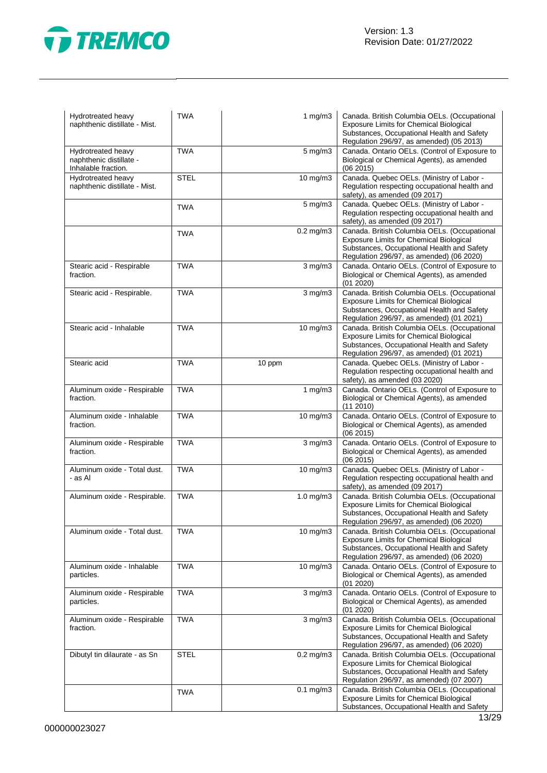

| Hydrotreated heavy<br>naphthenic distillate - Mist.                  | <b>TWA</b>  | 1 $mg/m3$               | Canada. British Columbia OELs. (Occupational<br><b>Exposure Limits for Chemical Biological</b><br>Substances, Occupational Health and Safety<br>Regulation 296/97, as amended) (05 2013) |
|----------------------------------------------------------------------|-------------|-------------------------|------------------------------------------------------------------------------------------------------------------------------------------------------------------------------------------|
| Hydrotreated heavy<br>naphthenic distillate -<br>Inhalable fraction. | <b>TWA</b>  | $5$ mg/m $3$            | Canada. Ontario OELs. (Control of Exposure to<br>Biological or Chemical Agents), as amended<br>(062015)                                                                                  |
| Hydrotreated heavy<br>naphthenic distillate - Mist.                  | <b>STEL</b> | 10 mg/m3                | Canada. Quebec OELs. (Ministry of Labor -<br>Regulation respecting occupational health and<br>safety), as amended (09 2017)                                                              |
|                                                                      | <b>TWA</b>  | 5 mg/m3                 | Canada. Quebec OELs. (Ministry of Labor -<br>Regulation respecting occupational health and<br>safety), as amended (09 2017)                                                              |
|                                                                      | TWA         | $0.2$ mg/m $3$          | Canada. British Columbia OELs. (Occupational<br>Exposure Limits for Chemical Biological<br>Substances, Occupational Health and Safety<br>Regulation 296/97, as amended) (06 2020)        |
| Stearic acid - Respirable<br>fraction.                               | <b>TWA</b>  | $3$ mg/m $3$            | Canada. Ontario OELs. (Control of Exposure to<br>Biological or Chemical Agents), as amended<br>(01 2020)                                                                                 |
| Stearic acid - Respirable.                                           | <b>TWA</b>  | $3$ mg/m $3$            | Canada. British Columbia OELs. (Occupational<br><b>Exposure Limits for Chemical Biological</b><br>Substances, Occupational Health and Safety<br>Regulation 296/97, as amended) (01 2021) |
| Stearic acid - Inhalable                                             | <b>TWA</b>  | 10 mg/m3                | Canada. British Columbia OELs. (Occupational<br><b>Exposure Limits for Chemical Biological</b><br>Substances, Occupational Health and Safety<br>Regulation 296/97, as amended) (01 2021) |
| Stearic acid                                                         | <b>TWA</b>  | 10 ppm                  | Canada. Quebec OELs. (Ministry of Labor -<br>Regulation respecting occupational health and<br>safety), as amended (03 2020)                                                              |
| Aluminum oxide - Respirable<br>fraction.                             | <b>TWA</b>  | 1 $mg/m3$               | Canada. Ontario OELs. (Control of Exposure to<br>Biological or Chemical Agents), as amended<br>(112010)                                                                                  |
| Aluminum oxide - Inhalable<br>fraction.                              | <b>TWA</b>  | 10 mg/m3                | Canada. Ontario OELs. (Control of Exposure to<br>Biological or Chemical Agents), as amended<br>(06 2015)                                                                                 |
| Aluminum oxide - Respirable<br>fraction.                             | <b>TWA</b>  | $3$ mg/m $3$            | Canada. Ontario OELs. (Control of Exposure to<br>Biological or Chemical Agents), as amended<br>(06 2015)                                                                                 |
| Aluminum oxide - Total dust.<br>- as Al                              | <b>TWA</b>  | 10 mg/m3                | Canada. Quebec OELs. (Ministry of Labor -<br>Regulation respecting occupational health and<br>safety), as amended (09 2017)                                                              |
| Aluminum oxide - Respirable.                                         | <b>TWA</b>  | $1.0$ mg/m $3$          | Canada. British Columbia OELs. (Occupational<br>Exposure Limits for Chemical Biological<br>Substances, Occupational Health and Safety<br>Regulation 296/97, as amended) (06 2020)        |
| Aluminum oxide - Total dust.                                         | <b>TWA</b>  | 10 mg/m3                | Canada. British Columbia OELs. (Occupational<br><b>Exposure Limits for Chemical Biological</b><br>Substances, Occupational Health and Safety<br>Regulation 296/97, as amended) (06 2020) |
| Aluminum oxide - Inhalable<br>particles.                             | <b>TWA</b>  | 10 mg/m3                | Canada. Ontario OELs. (Control of Exposure to<br>Biological or Chemical Agents), as amended<br>(01 2020)                                                                                 |
| Aluminum oxide - Respirable<br>particles.                            | <b>TWA</b>  | $3$ mg/m $3$            | Canada. Ontario OELs. (Control of Exposure to<br>Biological or Chemical Agents), as amended<br>(01 2020)                                                                                 |
| Aluminum oxide - Respirable<br>fraction.                             | <b>TWA</b>  | $\overline{3}$ mg/m $3$ | Canada. British Columbia OELs. (Occupational<br><b>Exposure Limits for Chemical Biological</b><br>Substances, Occupational Health and Safety<br>Regulation 296/97, as amended) (06 2020) |
| Dibutyl tin dilaurate - as Sn                                        | <b>STEL</b> | $0.2$ mg/m $3$          | Canada. British Columbia OELs. (Occupational<br><b>Exposure Limits for Chemical Biological</b><br>Substances, Occupational Health and Safety<br>Regulation 296/97, as amended) (07 2007) |
|                                                                      | <b>TWA</b>  | $0.1$ mg/m $3$          | Canada. British Columbia OELs. (Occupational<br><b>Exposure Limits for Chemical Biological</b><br>Substances, Occupational Health and Safety                                             |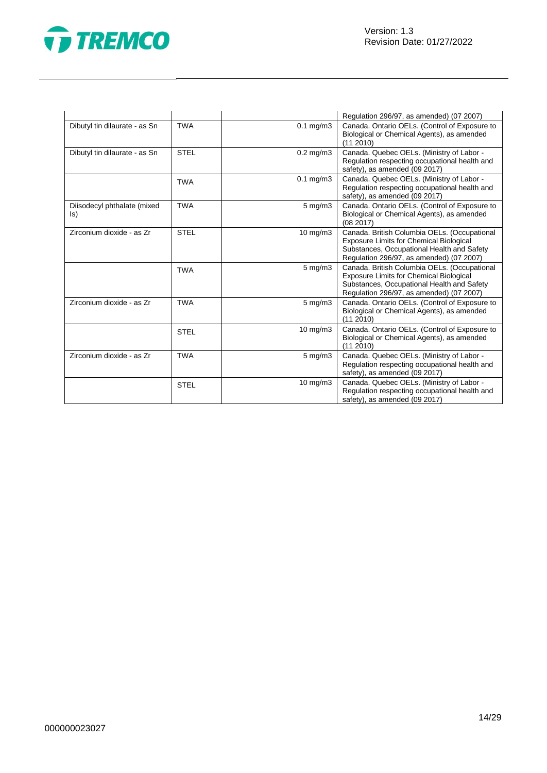

|                                    |             |                   | Regulation 296/97, as amended) (07 2007)                                                                                                                                                 |
|------------------------------------|-------------|-------------------|------------------------------------------------------------------------------------------------------------------------------------------------------------------------------------------|
| Dibutyl tin dilaurate - as Sn      | <b>TWA</b>  | $0.1$ mg/m $3$    | Canada. Ontario OELs. (Control of Exposure to<br>Biological or Chemical Agents), as amended<br>(11 2010)                                                                                 |
| Dibutyl tin dilaurate - as Sn      | <b>STEL</b> | $0.2$ mg/m $3$    | Canada. Quebec OELs. (Ministry of Labor -<br>Regulation respecting occupational health and<br>safety), as amended (09 2017)                                                              |
|                                    | <b>TWA</b>  | $0.1$ mg/m $3$    | Canada. Quebec OELs. (Ministry of Labor -<br>Regulation respecting occupational health and<br>safety), as amended (09 2017)                                                              |
| Diisodecyl phthalate (mixed<br>ls) | <b>TWA</b>  | $5 \text{ mg/m}$  | Canada. Ontario OELs. (Control of Exposure to<br>Biological or Chemical Agents), as amended<br>(08 2017)                                                                                 |
| Zirconium dioxide - as Zr          | <b>STEL</b> | $10 \text{ mg/m}$ | Canada. British Columbia OELs. (Occupational<br><b>Exposure Limits for Chemical Biological</b><br>Substances, Occupational Health and Safety<br>Regulation 296/97, as amended) (07 2007) |
|                                    | <b>TWA</b>  | $5 \text{ mg/m}$  | Canada. British Columbia OELs. (Occupational<br><b>Exposure Limits for Chemical Biological</b><br>Substances, Occupational Health and Safety<br>Regulation 296/97, as amended) (07 2007) |
| Zirconium dioxide - as Zr          | <b>TWA</b>  | $5 \text{ mg/m}$  | Canada. Ontario OELs. (Control of Exposure to<br>Biological or Chemical Agents), as amended<br>(11 2010)                                                                                 |
|                                    | <b>STEL</b> | $10 \text{ mg/m}$ | Canada. Ontario OELs. (Control of Exposure to<br>Biological or Chemical Agents), as amended<br>(112010)                                                                                  |
| Zirconium dioxide - as Zr          | <b>TWA</b>  | 5 mg/m3           | Canada. Quebec OELs. (Ministry of Labor -<br>Regulation respecting occupational health and<br>safety), as amended (09 2017)                                                              |
|                                    | <b>STEL</b> | $10 \text{ mg/m}$ | Canada. Quebec OELs. (Ministry of Labor -<br>Regulation respecting occupational health and<br>safety), as amended (09 2017)                                                              |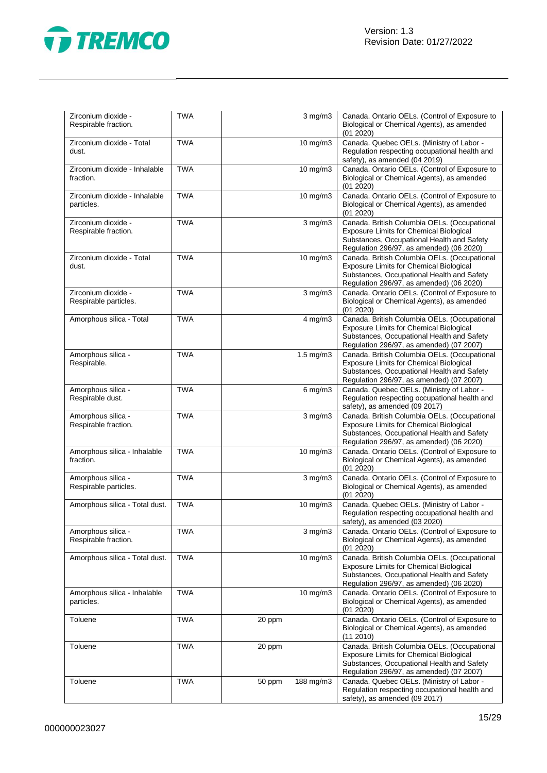

| Zirconium dioxide -<br>Respirable fraction.  | <b>TWA</b> |        | $3 \text{ mg/m}$ | Canada. Ontario OELs. (Control of Exposure to<br>Biological or Chemical Agents), as amended<br>(01 2020)                                                                                 |
|----------------------------------------------|------------|--------|------------------|------------------------------------------------------------------------------------------------------------------------------------------------------------------------------------------|
| Zirconium dioxide - Total<br>dust.           | <b>TWA</b> |        | 10 mg/m3         | Canada. Quebec OELs. (Ministry of Labor -<br>Regulation respecting occupational health and<br>safety), as amended (04 2019)                                                              |
| Zirconium dioxide - Inhalable<br>fraction.   | <b>TWA</b> |        | 10 mg/m3         | Canada. Ontario OELs. (Control of Exposure to<br>Biological or Chemical Agents), as amended<br>(01 2020)                                                                                 |
| Zirconium dioxide - Inhalable<br>particles.  | <b>TWA</b> |        | 10 mg/m3         | Canada. Ontario OELs. (Control of Exposure to<br>Biological or Chemical Agents), as amended<br>(01 2020)                                                                                 |
| Zirconium dioxide -<br>Respirable fraction.  | <b>TWA</b> |        | $3$ mg/m $3$     | Canada. British Columbia OELs. (Occupational<br><b>Exposure Limits for Chemical Biological</b><br>Substances, Occupational Health and Safety<br>Regulation 296/97, as amended) (06 2020) |
| Zirconium dioxide - Total<br>dust.           | <b>TWA</b> |        | 10 mg/m3         | Canada. British Columbia OELs. (Occupational<br><b>Exposure Limits for Chemical Biological</b><br>Substances, Occupational Health and Safety<br>Regulation 296/97, as amended) (06 2020) |
| Zirconium dioxide -<br>Respirable particles. | <b>TWA</b> |        | $3$ mg/m $3$     | Canada. Ontario OELs. (Control of Exposure to<br>Biological or Chemical Agents), as amended<br>(01 2020)                                                                                 |
| Amorphous silica - Total                     | <b>TWA</b> |        | $4$ mg/m $3$     | Canada. British Columbia OELs. (Occupational<br><b>Exposure Limits for Chemical Biological</b><br>Substances, Occupational Health and Safety<br>Regulation 296/97, as amended) (07 2007) |
| Amorphous silica -<br>Respirable.            | <b>TWA</b> |        | 1.5 mg/m3        | Canada. British Columbia OELs. (Occupational<br><b>Exposure Limits for Chemical Biological</b><br>Substances, Occupational Health and Safety<br>Regulation 296/97, as amended) (07 2007) |
| Amorphous silica -<br>Respirable dust.       | <b>TWA</b> |        | $6$ mg/m $3$     | Canada. Quebec OELs. (Ministry of Labor -<br>Regulation respecting occupational health and<br>safety), as amended (09 2017)                                                              |
| Amorphous silica -<br>Respirable fraction.   | <b>TWA</b> |        | $3$ mg/m $3$     | Canada. British Columbia OELs. (Occupational<br><b>Exposure Limits for Chemical Biological</b><br>Substances, Occupational Health and Safety<br>Regulation 296/97, as amended) (06 2020) |
| Amorphous silica - Inhalable<br>fraction.    | <b>TWA</b> |        | 10 mg/m3         | Canada. Ontario OELs. (Control of Exposure to<br>Biological or Chemical Agents), as amended<br>(01 2020)                                                                                 |
| Amorphous silica -<br>Respirable particles.  | <b>TWA</b> |        | $3$ mg/m $3$     | Canada. Ontario OELs. (Control of Exposure to<br>Biological or Chemical Agents), as amended<br>(01 2020)                                                                                 |
| Amorphous silica - Total dust.               | <b>TWA</b> |        | 10 mg/m3         | Canada. Quebec OELs. (Ministry of Labor -<br>Regulation respecting occupational health and<br>safety), as amended (03 2020)                                                              |
| Amorphous silica -<br>Respirable fraction.   | <b>TWA</b> |        | $3$ mg/m $3$     | Canada. Ontario OELs. (Control of Exposure to<br>Biological or Chemical Agents), as amended<br>(01 2020)                                                                                 |
| Amorphous silica - Total dust.               | <b>TWA</b> |        | 10 mg/m3         | Canada. British Columbia OELs. (Occupational<br><b>Exposure Limits for Chemical Biological</b><br>Substances, Occupational Health and Safety<br>Regulation 296/97, as amended) (06 2020) |
| Amorphous silica - Inhalable<br>particles.   | <b>TWA</b> |        | $10$ mg/m $3$    | Canada. Ontario OELs. (Control of Exposure to<br>Biological or Chemical Agents), as amended<br>(01 2020)                                                                                 |
| Toluene                                      | <b>TWA</b> | 20 ppm |                  | Canada. Ontario OELs. (Control of Exposure to<br>Biological or Chemical Agents), as amended<br>(112010)                                                                                  |
| Toluene                                      | <b>TWA</b> | 20 ppm |                  | Canada. British Columbia OELs. (Occupational<br><b>Exposure Limits for Chemical Biological</b><br>Substances, Occupational Health and Safety<br>Regulation 296/97, as amended) (07 2007) |
| Toluene                                      | <b>TWA</b> | 50 ppm | 188 mg/m3        | Canada. Quebec OELs. (Ministry of Labor -<br>Regulation respecting occupational health and<br>safety), as amended (09 2017)                                                              |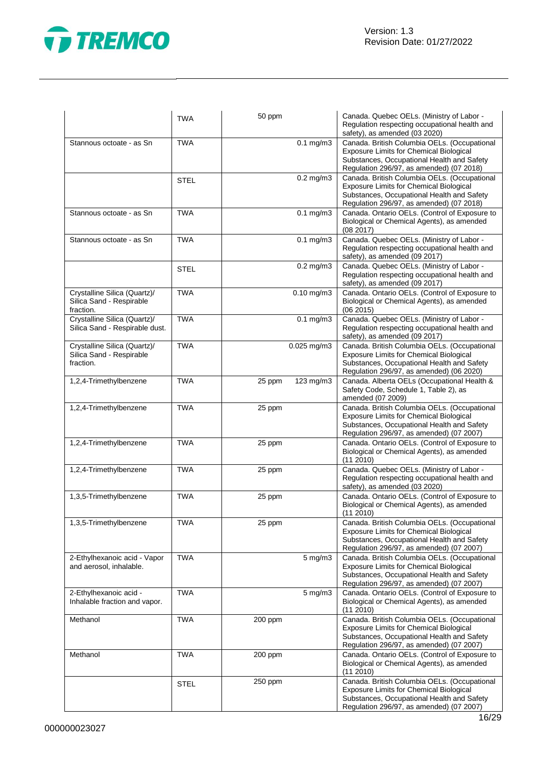

|                                                                       | <b>TWA</b>  | 50 ppm              | Canada. Quebec OELs. (Ministry of Labor -<br>Regulation respecting occupational health and<br>safety), as amended (03 2020)                                                              |
|-----------------------------------------------------------------------|-------------|---------------------|------------------------------------------------------------------------------------------------------------------------------------------------------------------------------------------|
| Stannous octoate - as Sn                                              | <b>TWA</b>  | $0.1$ mg/m $3$      | Canada. British Columbia OELs. (Occupational<br><b>Exposure Limits for Chemical Biological</b><br>Substances, Occupational Health and Safety<br>Regulation 296/97, as amended) (07 2018) |
|                                                                       | <b>STEL</b> | $0.2$ mg/m $3$      | Canada. British Columbia OELs. (Occupational<br><b>Exposure Limits for Chemical Biological</b><br>Substances, Occupational Health and Safety<br>Regulation 296/97, as amended) (07 2018) |
| Stannous octoate - as Sn                                              | <b>TWA</b>  | $0.1$ mg/m $3$      | Canada. Ontario OELs. (Control of Exposure to<br>Biological or Chemical Agents), as amended<br>(08 2017)                                                                                 |
| Stannous octoate - as Sn                                              | <b>TWA</b>  | $0.1$ mg/m $3$      | Canada. Quebec OELs. (Ministry of Labor -<br>Regulation respecting occupational health and<br>safety), as amended (09 2017)                                                              |
|                                                                       | STEL        | $0.2$ mg/m $3$      | Canada. Quebec OELs. (Ministry of Labor -<br>Regulation respecting occupational health and<br>safety), as amended (09 2017)                                                              |
| Crystalline Silica (Quartz)/<br>Silica Sand - Respirable<br>fraction. | <b>TWA</b>  | $0.10$ mg/m $3$     | Canada. Ontario OELs. (Control of Exposure to<br>Biological or Chemical Agents), as amended<br>(06 2015)                                                                                 |
| Crystalline Silica (Quartz)/<br>Silica Sand - Respirable dust.        | <b>TWA</b>  | $0.1$ mg/m $3$      | Canada. Quebec OELs. (Ministry of Labor -<br>Regulation respecting occupational health and<br>safety), as amended (09 2017)                                                              |
| Crystalline Silica (Quartz)/<br>Silica Sand - Respirable<br>fraction. | <b>TWA</b>  | $0.025$ mg/m $3$    | Canada. British Columbia OELs. (Occupational<br><b>Exposure Limits for Chemical Biological</b><br>Substances, Occupational Health and Safety<br>Regulation 296/97, as amended) (06 2020) |
| 1,2,4-Trimethylbenzene                                                | <b>TWA</b>  | 123 mg/m3<br>25 ppm | Canada. Alberta OELs (Occupational Health &<br>Safety Code, Schedule 1, Table 2), as<br>amended (07 2009)                                                                                |
| 1,2,4-Trimethylbenzene                                                | <b>TWA</b>  | 25 ppm              | Canada. British Columbia OELs. (Occupational<br>Exposure Limits for Chemical Biological<br>Substances, Occupational Health and Safety<br>Regulation 296/97, as amended) (07 2007)        |
| 1,2,4-Trimethylbenzene                                                | <b>TWA</b>  | 25 ppm              | Canada. Ontario OELs. (Control of Exposure to<br>Biological or Chemical Agents), as amended<br>(112010)                                                                                  |
| 1,2,4-Trimethylbenzene                                                | <b>TWA</b>  | 25 ppm              | Canada. Quebec OELs. (Ministry of Labor -<br>Regulation respecting occupational health and<br>safety), as amended (03 2020)                                                              |
| 1,3,5-Trimethylbenzene                                                | <b>TWA</b>  | 25 ppm              | Canada. Ontario OELs. (Control of Exposure to<br>Biological or Chemical Agents), as amended<br>(11 2010)                                                                                 |
| 1,3,5-Trimethylbenzene                                                | <b>TWA</b>  | 25 ppm              | Canada. British Columbia OELs. (Occupational<br><b>Exposure Limits for Chemical Biological</b><br>Substances, Occupational Health and Safety<br>Regulation 296/97, as amended) (07 2007) |
| 2-Ethylhexanoic acid - Vapor<br>and aerosol, inhalable.               | <b>TWA</b>  | $5 \text{ mg/m}$    | Canada. British Columbia OELs. (Occupational<br><b>Exposure Limits for Chemical Biological</b><br>Substances, Occupational Health and Safety<br>Regulation 296/97, as amended) (07 2007) |
| 2-Ethylhexanoic acid -<br>Inhalable fraction and vapor.               | <b>TWA</b>  | $5 \text{ mg/m}$    | Canada. Ontario OELs. (Control of Exposure to<br>Biological or Chemical Agents), as amended<br>(11 2010)                                                                                 |
| Methanol                                                              | <b>TWA</b>  | 200 ppm             | Canada. British Columbia OELs. (Occupational<br><b>Exposure Limits for Chemical Biological</b><br>Substances, Occupational Health and Safety<br>Regulation 296/97, as amended) (07 2007) |
| Methanol                                                              | <b>TWA</b>  | 200 ppm             | Canada. Ontario OELs. (Control of Exposure to<br>Biological or Chemical Agents), as amended<br>(11 2010)                                                                                 |
|                                                                       | <b>STEL</b> | $250$ ppm           | Canada. British Columbia OELs. (Occupational<br>Exposure Limits for Chemical Biological<br>Substances, Occupational Health and Safety<br>Regulation 296/97, as amended) (07 2007)        |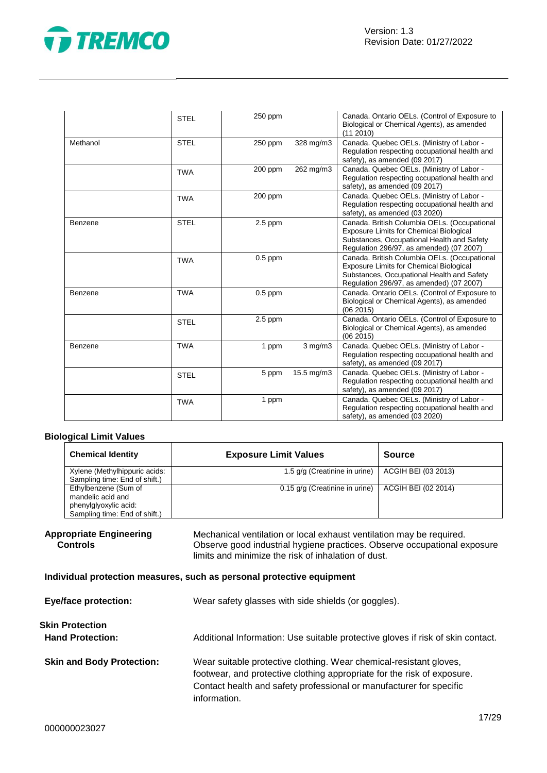

|          | <b>STEL</b> | 250 ppm   |              | Canada. Ontario OELs. (Control of Exposure to<br>Biological or Chemical Agents), as amended<br>(112010)                                                                                  |
|----------|-------------|-----------|--------------|------------------------------------------------------------------------------------------------------------------------------------------------------------------------------------------|
| Methanol | <b>STEL</b> | 250 ppm   | 328 mg/m3    | Canada. Quebec OELs. (Ministry of Labor -<br>Regulation respecting occupational health and<br>safety), as amended (09 2017)                                                              |
|          | <b>TWA</b>  | 200 ppm   | 262 mg/m3    | Canada. Quebec OELs. (Ministry of Labor -<br>Regulation respecting occupational health and<br>safety), as amended (09 2017)                                                              |
|          | <b>TWA</b>  | 200 ppm   |              | Canada. Quebec OELs. (Ministry of Labor -<br>Regulation respecting occupational health and<br>safety), as amended (03 2020)                                                              |
| Benzene  | <b>STEL</b> | $2.5$ ppm |              | Canada. British Columbia OELs. (Occupational<br><b>Exposure Limits for Chemical Biological</b><br>Substances, Occupational Health and Safety<br>Regulation 296/97, as amended) (07 2007) |
|          | <b>TWA</b>  | $0.5$ ppm |              | Canada. British Columbia OELs. (Occupational<br><b>Exposure Limits for Chemical Biological</b><br>Substances, Occupational Health and Safety<br>Regulation 296/97, as amended) (07 2007) |
| Benzene  | <b>TWA</b>  | $0.5$ ppm |              | Canada. Ontario OELs. (Control of Exposure to<br>Biological or Chemical Agents), as amended<br>(06 2015)                                                                                 |
|          | <b>STEL</b> | $2.5$ ppm |              | Canada. Ontario OELs. (Control of Exposure to<br>Biological or Chemical Agents), as amended<br>(062015)                                                                                  |
| Benzene  | <b>TWA</b>  | 1 ppm     | $3$ mg/m $3$ | Canada. Quebec OELs. (Ministry of Labor -<br>Regulation respecting occupational health and<br>safety), as amended (09 2017)                                                              |
|          | <b>STEL</b> | 5 ppm     | 15.5 mg/m3   | Canada. Quebec OELs. (Ministry of Labor -<br>Regulation respecting occupational health and<br>safety), as amended (09 2017)                                                              |
|          | <b>TWA</b>  | 1 ppm     |              | Canada. Quebec OELs. (Ministry of Labor -<br>Regulation respecting occupational health and<br>safety), as amended (03 2020)                                                              |

#### **Biological Limit Values**

| <b>Chemical Identity</b>                                                                            | <b>Exposure Limit Values</b>   | <b>Source</b>       |
|-----------------------------------------------------------------------------------------------------|--------------------------------|---------------------|
| Xylene (Methylhippuric acids:<br>Sampling time: End of shift.)                                      | 1.5 g/g (Creatinine in urine)  | ACGIH BEI (03 2013) |
| Ethylbenzene (Sum of<br>mandelic acid and<br>phenylglyoxylic acid:<br>Sampling time: End of shift.) | 0.15 g/g (Creatinine in urine) | ACGIH BEI (02 2014) |

#### **Appropriate Engineering Controls**

Mechanical ventilation or local exhaust ventilation may be required. Observe good industrial hygiene practices. Observe occupational exposure limits and minimize the risk of inhalation of dust.

#### **Individual protection measures, such as personal protective equipment**

| <b>Eye/face protection:</b>                | Wear safety glasses with side shields (or goggles).                                                                                                                                                                                  |
|--------------------------------------------|--------------------------------------------------------------------------------------------------------------------------------------------------------------------------------------------------------------------------------------|
| Skin Protection<br><b>Hand Protection:</b> | Additional Information: Use suitable protective gloves if risk of skin contact.                                                                                                                                                      |
| <b>Skin and Body Protection:</b>           | Wear suitable protective clothing. Wear chemical-resistant gloves,<br>footwear, and protective clothing appropriate for the risk of exposure.<br>Contact health and safety professional or manufacturer for specific<br>information. |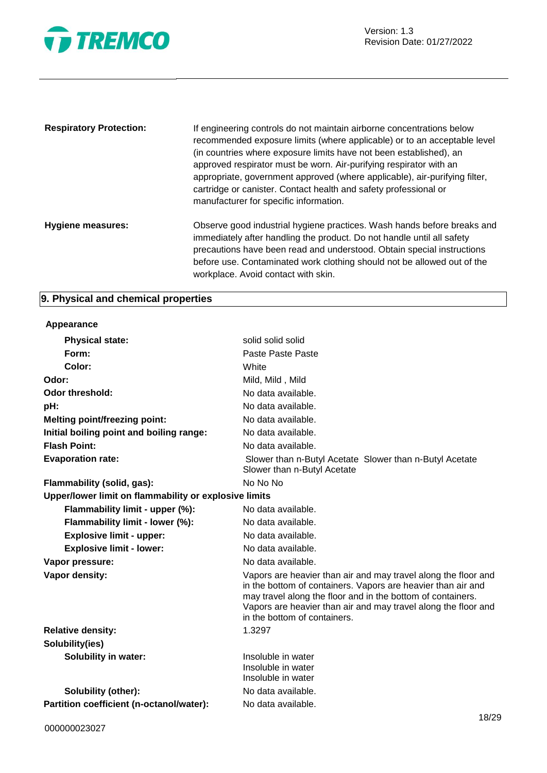

| <b>Respiratory Protection:</b> | If engineering controls do not maintain airborne concentrations below<br>recommended exposure limits (where applicable) or to an acceptable level<br>(in countries where exposure limits have not been established), an<br>approved respirator must be worn. Air-purifying respirator with an<br>appropriate, government approved (where applicable), air-purifying filter,<br>cartridge or canister. Contact health and safety professional or<br>manufacturer for specific information. |
|--------------------------------|-------------------------------------------------------------------------------------------------------------------------------------------------------------------------------------------------------------------------------------------------------------------------------------------------------------------------------------------------------------------------------------------------------------------------------------------------------------------------------------------|
| Hygiene measures:              | Observe good industrial hygiene practices. Wash hands before breaks and<br>immediately after handling the product. Do not handle until all safety<br>precautions have been read and understood. Obtain special instructions<br>before use. Contaminated work clothing should not be allowed out of the<br>workplace. Avoid contact with skin.                                                                                                                                             |

# **9. Physical and chemical properties**

| Appearance                                            |                                                                                                                                                                                                                                                                                                 |
|-------------------------------------------------------|-------------------------------------------------------------------------------------------------------------------------------------------------------------------------------------------------------------------------------------------------------------------------------------------------|
| <b>Physical state:</b>                                | solid solid solid                                                                                                                                                                                                                                                                               |
| Form:                                                 | Paste Paste Paste                                                                                                                                                                                                                                                                               |
| Color:                                                | White                                                                                                                                                                                                                                                                                           |
| Odor:                                                 | Mild, Mild, Mild                                                                                                                                                                                                                                                                                |
| Odor threshold:                                       | No data available.                                                                                                                                                                                                                                                                              |
| pH:                                                   | No data available.                                                                                                                                                                                                                                                                              |
| <b>Melting point/freezing point:</b>                  | No data available.                                                                                                                                                                                                                                                                              |
| Initial boiling point and boiling range:              | No data available.                                                                                                                                                                                                                                                                              |
| <b>Flash Point:</b>                                   | No data available.                                                                                                                                                                                                                                                                              |
| <b>Evaporation rate:</b>                              | Slower than n-Butyl Acetate Slower than n-Butyl Acetate<br>Slower than n-Butyl Acetate                                                                                                                                                                                                          |
| Flammability (solid, gas):                            | No No No                                                                                                                                                                                                                                                                                        |
| Upper/lower limit on flammability or explosive limits |                                                                                                                                                                                                                                                                                                 |
| Flammability limit - upper (%):                       | No data available.                                                                                                                                                                                                                                                                              |
| Flammability limit - lower (%):                       | No data available.                                                                                                                                                                                                                                                                              |
| <b>Explosive limit - upper:</b>                       | No data available.                                                                                                                                                                                                                                                                              |
| <b>Explosive limit - lower:</b>                       | No data available.                                                                                                                                                                                                                                                                              |
| Vapor pressure:                                       | No data available.                                                                                                                                                                                                                                                                              |
| Vapor density:                                        | Vapors are heavier than air and may travel along the floor and<br>in the bottom of containers. Vapors are heavier than air and<br>may travel along the floor and in the bottom of containers.<br>Vapors are heavier than air and may travel along the floor and<br>in the bottom of containers. |
| <b>Relative density:</b>                              | 1.3297                                                                                                                                                                                                                                                                                          |
| Solubility(ies)                                       |                                                                                                                                                                                                                                                                                                 |
| <b>Solubility in water:</b>                           | Insoluble in water<br>Insoluble in water<br>Insoluble in water                                                                                                                                                                                                                                  |
| Solubility (other):                                   | No data available.                                                                                                                                                                                                                                                                              |
| Partition coefficient (n-octanol/water):              | No data available.                                                                                                                                                                                                                                                                              |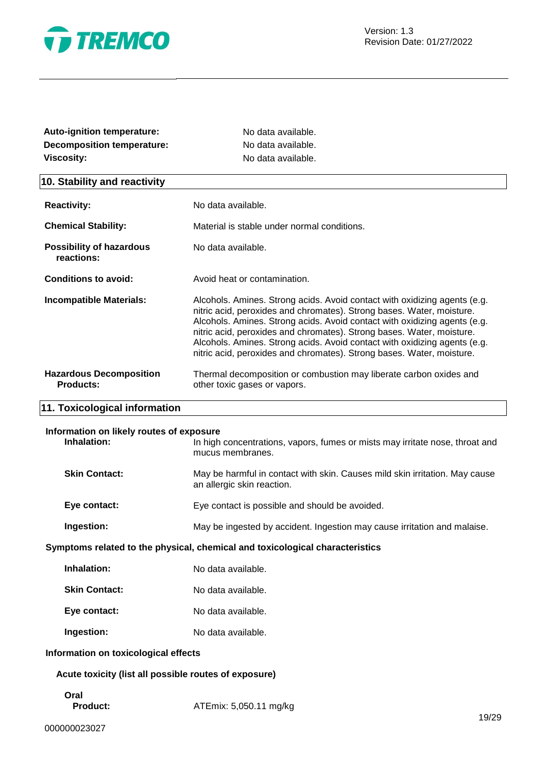

| Auto-ignition temperature:                              | No data available.                                                                                                                                                                                                                                                                                                                                                                                                                                             |  |
|---------------------------------------------------------|----------------------------------------------------------------------------------------------------------------------------------------------------------------------------------------------------------------------------------------------------------------------------------------------------------------------------------------------------------------------------------------------------------------------------------------------------------------|--|
| <b>Decomposition temperature:</b>                       | No data available.                                                                                                                                                                                                                                                                                                                                                                                                                                             |  |
| <b>Viscosity:</b><br>No data available.                 |                                                                                                                                                                                                                                                                                                                                                                                                                                                                |  |
| 10. Stability and reactivity                            |                                                                                                                                                                                                                                                                                                                                                                                                                                                                |  |
| <b>Reactivity:</b>                                      | No data available.                                                                                                                                                                                                                                                                                                                                                                                                                                             |  |
| <b>Chemical Stability:</b>                              | Material is stable under normal conditions.                                                                                                                                                                                                                                                                                                                                                                                                                    |  |
| <b>Possibility of hazardous</b><br>reactions:           | No data available.                                                                                                                                                                                                                                                                                                                                                                                                                                             |  |
| <b>Conditions to avoid:</b>                             | Avoid heat or contamination.                                                                                                                                                                                                                                                                                                                                                                                                                                   |  |
| <b>Incompatible Materials:</b>                          | Alcohols. Amines. Strong acids. Avoid contact with oxidizing agents (e.g.<br>nitric acid, peroxides and chromates). Strong bases. Water, moisture.<br>Alcohols. Amines. Strong acids. Avoid contact with oxidizing agents (e.g.<br>nitric acid, peroxides and chromates). Strong bases. Water, moisture.<br>Alcohols. Amines. Strong acids. Avoid contact with oxidizing agents (e.g.<br>nitric acid, peroxides and chromates). Strong bases. Water, moisture. |  |
| <b>Hazardous Decomposition</b><br><b>Products:</b>      | Thermal decomposition or combustion may liberate carbon oxides and<br>other toxic gases or vapors.                                                                                                                                                                                                                                                                                                                                                             |  |
| 11. Toxicological information                           |                                                                                                                                                                                                                                                                                                                                                                                                                                                                |  |
| Information on likely routes of exposure<br>Inhalation: | In high concentrations, vapors, fumes or mists may irritate nose, throat and<br>mucus membranes.                                                                                                                                                                                                                                                                                                                                                               |  |
| <b>Skin Contact:</b>                                    | May be harmful in contact with skin. Causes mild skin irritation. May cause<br>an allergic skin reaction.                                                                                                                                                                                                                                                                                                                                                      |  |
| Eye contact:                                            | Eye contact is possible and should be avoided.                                                                                                                                                                                                                                                                                                                                                                                                                 |  |
| Ingestion:                                              | May be ingested by accident. Ingestion may cause irritation and malaise.                                                                                                                                                                                                                                                                                                                                                                                       |  |
|                                                         | Symptoms related to the physical, chemical and toxicological characteristics                                                                                                                                                                                                                                                                                                                                                                                   |  |
| Inhalation:                                             | No data available.                                                                                                                                                                                                                                                                                                                                                                                                                                             |  |
| <b>Skin Contact:</b>                                    | No data available.                                                                                                                                                                                                                                                                                                                                                                                                                                             |  |
| Eye contact:                                            | No data available.                                                                                                                                                                                                                                                                                                                                                                                                                                             |  |
| Ingestion:                                              | No data available.                                                                                                                                                                                                                                                                                                                                                                                                                                             |  |
| Information on toxicological effects                    |                                                                                                                                                                                                                                                                                                                                                                                                                                                                |  |
| Acute toxicity (list all possible routes of exposure)   |                                                                                                                                                                                                                                                                                                                                                                                                                                                                |  |
| Oral<br><b>Product:</b>                                 | ATEmix: 5,050.11 mg/kg                                                                                                                                                                                                                                                                                                                                                                                                                                         |  |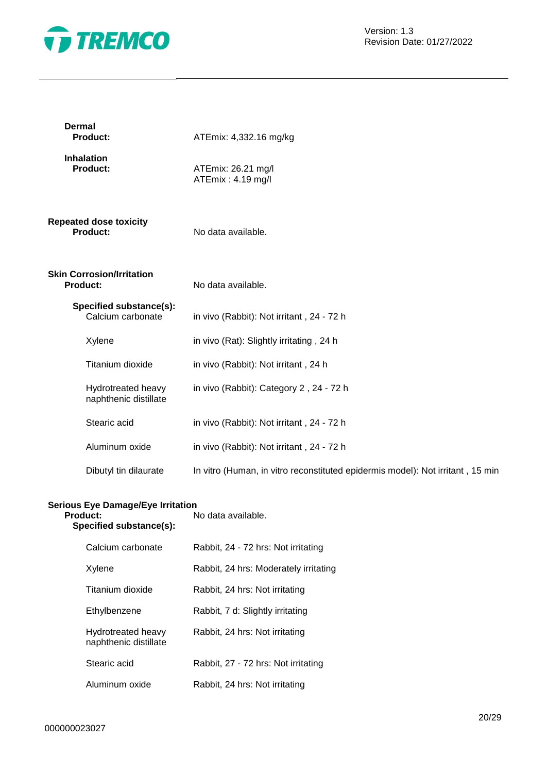

| <b>Dermal</b><br><b>Product:</b>             | ATEmix: 4,332.16 mg/kg                                                         |
|----------------------------------------------|--------------------------------------------------------------------------------|
| <b>Inhalation</b><br><b>Product:</b>         | ATEmix: 26.21 mg/l<br>ATEmix: 4.19 mg/l                                        |
| <b>Repeated dose toxicity</b><br>Product:    | No data available.                                                             |
| <b>Skin Corrosion/Irritation</b><br>Product: | No data available.                                                             |
| Specified substance(s):<br>Calcium carbonate | in vivo (Rabbit): Not irritant, 24 - 72 h                                      |
| Xylene                                       | in vivo (Rat): Slightly irritating, 24 h                                       |
| Titanium dioxide                             | in vivo (Rabbit): Not irritant, 24 h                                           |
| Hydrotreated heavy<br>naphthenic distillate  | in vivo (Rabbit): Category 2, 24 - 72 h                                        |
| Stearic acid                                 | in vivo (Rabbit): Not irritant, 24 - 72 h                                      |
| Aluminum oxide                               | in vivo (Rabbit): Not irritant, 24 - 72 h                                      |
| Dibutyl tin dilaurate                        | In vitro (Human, in vitro reconstituted epidermis model): Not irritant, 15 min |
|                                              |                                                                                |

#### **Serious Eye Damage/Eye Irritation**

| <b>Product:</b><br>Specified substance(s): |                                             | No data available.                    |
|--------------------------------------------|---------------------------------------------|---------------------------------------|
|                                            | Calcium carbonate                           | Rabbit, 24 - 72 hrs: Not irritating   |
|                                            | Xylene                                      | Rabbit, 24 hrs: Moderately irritating |
|                                            | Titanium dioxide                            | Rabbit, 24 hrs: Not irritating        |
|                                            | Ethylbenzene                                | Rabbit, 7 d: Slightly irritating      |
|                                            | Hydrotreated heavy<br>naphthenic distillate | Rabbit, 24 hrs: Not irritating        |
|                                            | Stearic acid                                | Rabbit, 27 - 72 hrs: Not irritating   |
|                                            | Aluminum oxide                              | Rabbit, 24 hrs: Not irritating        |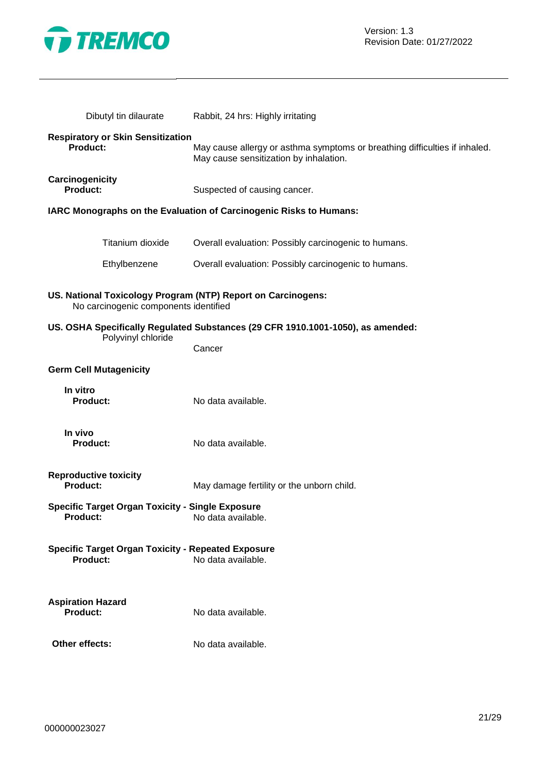

| Dibutyl tin dilaurate                                                                                 | Rabbit, 24 hrs: Highly irritating                                                                                    |
|-------------------------------------------------------------------------------------------------------|----------------------------------------------------------------------------------------------------------------------|
| <b>Respiratory or Skin Sensitization</b><br><b>Product:</b>                                           | May cause allergy or asthma symptoms or breathing difficulties if inhaled.<br>May cause sensitization by inhalation. |
| Carcinogenicity<br><b>Product:</b>                                                                    | Suspected of causing cancer.                                                                                         |
|                                                                                                       | IARC Monographs on the Evaluation of Carcinogenic Risks to Humans:                                                   |
| Titanium dioxide                                                                                      | Overall evaluation: Possibly carcinogenic to humans.                                                                 |
| Ethylbenzene                                                                                          | Overall evaluation: Possibly carcinogenic to humans.                                                                 |
| US. National Toxicology Program (NTP) Report on Carcinogens:<br>No carcinogenic components identified |                                                                                                                      |
| Polyvinyl chloride                                                                                    | US. OSHA Specifically Regulated Substances (29 CFR 1910.1001-1050), as amended:                                      |
|                                                                                                       | Cancer                                                                                                               |
| <b>Germ Cell Mutagenicity</b>                                                                         |                                                                                                                      |
| In vitro<br><b>Product:</b>                                                                           | No data available.                                                                                                   |
| In vivo<br><b>Product:</b>                                                                            | No data available.                                                                                                   |
| <b>Reproductive toxicity</b><br><b>Product:</b>                                                       | May damage fertility or the unborn child.                                                                            |
| <b>Specific Target Organ Toxicity - Single Exposure</b><br><b>Product:</b>                            | No data available                                                                                                    |
| <b>Specific Target Organ Toxicity - Repeated Exposure</b><br><b>Product:</b>                          | No data available.                                                                                                   |
| <b>Aspiration Hazard</b><br><b>Product:</b>                                                           | No data available.                                                                                                   |
| Other effects:                                                                                        | No data available.                                                                                                   |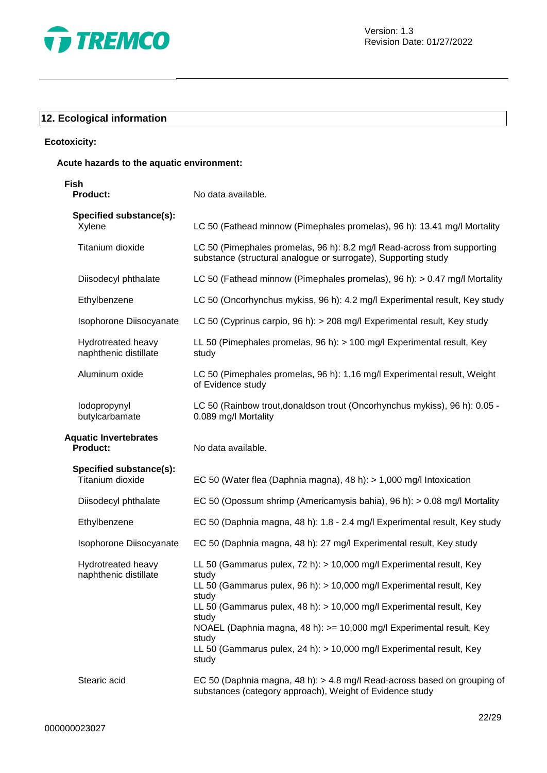

# **12. Ecological information**

#### **Ecotoxicity:**

#### **Acute hazards to the aquatic environment:**

| Fish<br><b>Product:</b>                         | No data available.                                                                                                                                                                                                                                                                                                                                                                                                |
|-------------------------------------------------|-------------------------------------------------------------------------------------------------------------------------------------------------------------------------------------------------------------------------------------------------------------------------------------------------------------------------------------------------------------------------------------------------------------------|
| Specified substance(s):<br>Xylene               | LC 50 (Fathead minnow (Pimephales promelas), 96 h): 13.41 mg/l Mortality                                                                                                                                                                                                                                                                                                                                          |
| Titanium dioxide                                | LC 50 (Pimephales promelas, 96 h): 8.2 mg/l Read-across from supporting<br>substance (structural analogue or surrogate), Supporting study                                                                                                                                                                                                                                                                         |
| Diisodecyl phthalate                            | LC 50 (Fathead minnow (Pimephales promelas), 96 h): > 0.47 mg/l Mortality                                                                                                                                                                                                                                                                                                                                         |
| Ethylbenzene                                    | LC 50 (Oncorhynchus mykiss, 96 h): 4.2 mg/l Experimental result, Key study                                                                                                                                                                                                                                                                                                                                        |
| Isophorone Diisocyanate                         | LC 50 (Cyprinus carpio, 96 h): > 208 mg/l Experimental result, Key study                                                                                                                                                                                                                                                                                                                                          |
| Hydrotreated heavy<br>naphthenic distillate     | LL 50 (Pimephales promelas, 96 h): > 100 mg/l Experimental result, Key<br>study                                                                                                                                                                                                                                                                                                                                   |
| Aluminum oxide                                  | LC 50 (Pimephales promelas, 96 h): 1.16 mg/l Experimental result, Weight<br>of Evidence study                                                                                                                                                                                                                                                                                                                     |
| lodopropynyl<br>butylcarbamate                  | LC 50 (Rainbow trout, donaldson trout (Oncorhynchus mykiss), 96 h): 0.05 -<br>0.089 mg/l Mortality                                                                                                                                                                                                                                                                                                                |
| <b>Aquatic Invertebrates</b><br><b>Product:</b> | No data available.                                                                                                                                                                                                                                                                                                                                                                                                |
| Specified substance(s):<br>Titanium dioxide     | EC 50 (Water flea (Daphnia magna), 48 h): $> 1,000$ mg/l Intoxication                                                                                                                                                                                                                                                                                                                                             |
| Diisodecyl phthalate                            | EC 50 (Opossum shrimp (Americamysis bahia), 96 h): > 0.08 mg/l Mortality                                                                                                                                                                                                                                                                                                                                          |
| Ethylbenzene                                    | EC 50 (Daphnia magna, 48 h): 1.8 - 2.4 mg/l Experimental result, Key study                                                                                                                                                                                                                                                                                                                                        |
| Isophorone Diisocyanate                         | EC 50 (Daphnia magna, 48 h): 27 mg/l Experimental result, Key study                                                                                                                                                                                                                                                                                                                                               |
| Hydrotreated heavy<br>naphthenic distillate     | LL 50 (Gammarus pulex, 72 h): > 10,000 mg/l Experimental result, Key<br>study<br>LL 50 (Gammarus pulex, 96 h): > 10,000 mg/l Experimental result, Key<br>study<br>LL 50 (Gammarus pulex, 48 h): > 10,000 mg/l Experimental result, Key<br>study<br>NOAEL (Daphnia magna, 48 h): >= 10,000 mg/l Experimental result, Key<br>study<br>LL 50 (Gammarus pulex, 24 h): > 10,000 mg/l Experimental result, Key<br>study |
| Stearic acid                                    | EC 50 (Daphnia magna, 48 h): > 4.8 mg/l Read-across based on grouping of<br>substances (category approach), Weight of Evidence study                                                                                                                                                                                                                                                                              |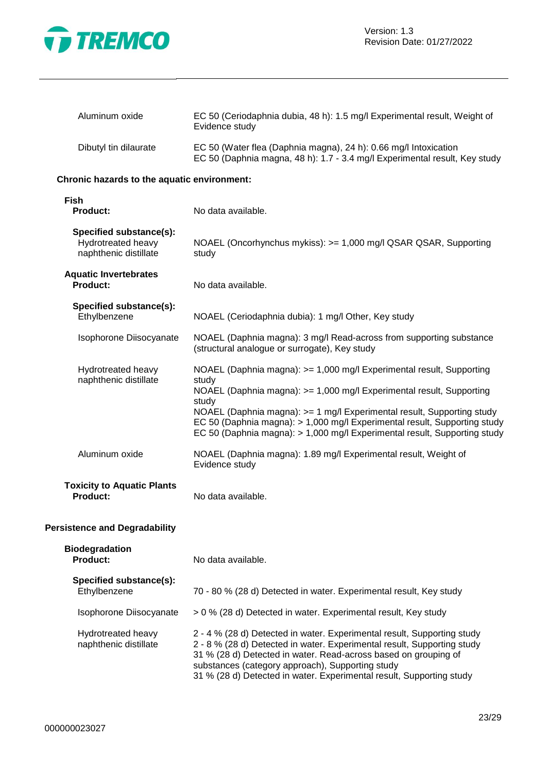

| Aluminum oxide        | EC 50 (Ceriodaphnia dubia, 48 h): 1.5 mg/l Experimental result, Weight of<br>Evidence study                                                    |
|-----------------------|------------------------------------------------------------------------------------------------------------------------------------------------|
| Dibutyl tin dilaurate | EC 50 (Water flea (Daphnia magna), 24 h): 0.66 mg/l Intoxication<br>EC 50 (Daphnia magna, 48 h): 1.7 - 3.4 mg/l Experimental result, Key study |

#### **Chronic hazards to the aquatic environment:**

| Fish<br><b>Product:</b>                                                | No data available.                                                                                                                                                                                                                                                                                                                                                                                 |
|------------------------------------------------------------------------|----------------------------------------------------------------------------------------------------------------------------------------------------------------------------------------------------------------------------------------------------------------------------------------------------------------------------------------------------------------------------------------------------|
| Specified substance(s):<br>Hydrotreated heavy<br>naphthenic distillate | NOAEL (Oncorhynchus mykiss): >= 1,000 mg/l QSAR QSAR, Supporting<br>study                                                                                                                                                                                                                                                                                                                          |
| <b>Aquatic Invertebrates</b><br><b>Product:</b>                        | No data available.                                                                                                                                                                                                                                                                                                                                                                                 |
| Specified substance(s):<br>Ethylbenzene                                | NOAEL (Ceriodaphnia dubia): 1 mg/l Other, Key study                                                                                                                                                                                                                                                                                                                                                |
| Isophorone Diisocyanate                                                | NOAEL (Daphnia magna): 3 mg/l Read-across from supporting substance<br>(structural analogue or surrogate), Key study                                                                                                                                                                                                                                                                               |
| Hydrotreated heavy<br>naphthenic distillate                            | NOAEL (Daphnia magna): >= 1,000 mg/l Experimental result, Supporting<br>study<br>NOAEL (Daphnia magna): >= 1,000 mg/l Experimental result, Supporting<br>study<br>NOAEL (Daphnia magna): >= 1 mg/l Experimental result, Supporting study<br>EC 50 (Daphnia magna): > 1,000 mg/l Experimental result, Supporting study<br>EC 50 (Daphnia magna): > 1,000 mg/l Experimental result, Supporting study |
| Aluminum oxide                                                         | NOAEL (Daphnia magna): 1.89 mg/l Experimental result, Weight of<br>Evidence study                                                                                                                                                                                                                                                                                                                  |
| <b>Toxicity to Aquatic Plants</b><br><b>Product:</b>                   | No data available.                                                                                                                                                                                                                                                                                                                                                                                 |
| sistence and Degradability                                             |                                                                                                                                                                                                                                                                                                                                                                                                    |

# **Pers**

| <b>Biodegradation</b><br><b>Product:</b>    | No data available.                                                                                                                                                                                                                                                                                                                                |
|---------------------------------------------|---------------------------------------------------------------------------------------------------------------------------------------------------------------------------------------------------------------------------------------------------------------------------------------------------------------------------------------------------|
| Specified substance(s):<br>Ethylbenzene     | 70 - 80 % (28 d) Detected in water. Experimental result, Key study                                                                                                                                                                                                                                                                                |
| Isophorone Diisocyanate                     | > 0 % (28 d) Detected in water. Experimental result, Key study                                                                                                                                                                                                                                                                                    |
| Hydrotreated heavy<br>naphthenic distillate | 2 - 4 % (28 d) Detected in water. Experimental result, Supporting study<br>2 - 8 % (28 d) Detected in water. Experimental result, Supporting study<br>31 % (28 d) Detected in water. Read-across based on grouping of<br>substances (category approach), Supporting study<br>31 % (28 d) Detected in water. Experimental result, Supporting study |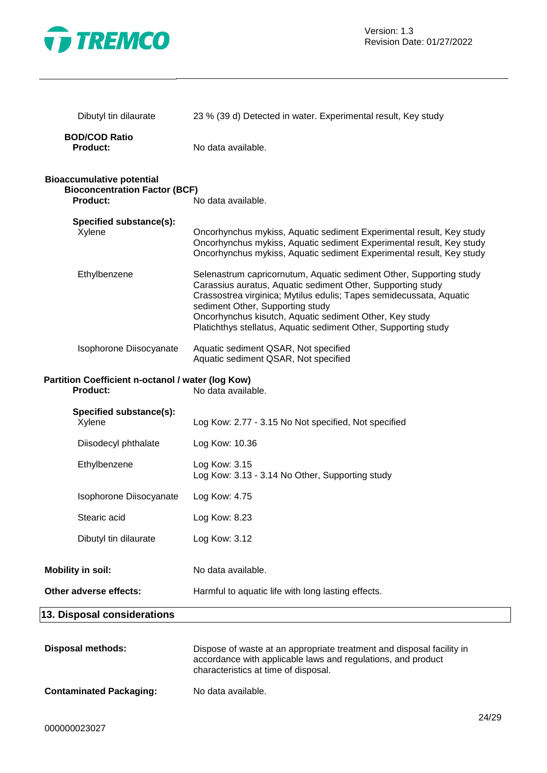

| Dibutyl tin dilaurate                                                                       | 23 % (39 d) Detected in water. Experimental result, Key study                                                                                                                                                                                                                                                                                                               |
|---------------------------------------------------------------------------------------------|-----------------------------------------------------------------------------------------------------------------------------------------------------------------------------------------------------------------------------------------------------------------------------------------------------------------------------------------------------------------------------|
| <b>BOD/COD Ratio</b><br><b>Product:</b>                                                     | No data available.                                                                                                                                                                                                                                                                                                                                                          |
| <b>Bioaccumulative potential</b><br><b>Bioconcentration Factor (BCF)</b><br><b>Product:</b> | No data available.                                                                                                                                                                                                                                                                                                                                                          |
| Specified substance(s):<br>Xylene                                                           | Oncorhynchus mykiss, Aquatic sediment Experimental result, Key study<br>Oncorhynchus mykiss, Aquatic sediment Experimental result, Key study<br>Oncorhynchus mykiss, Aquatic sediment Experimental result, Key study                                                                                                                                                        |
| Ethylbenzene                                                                                | Selenastrum capricornutum, Aquatic sediment Other, Supporting study<br>Carassius auratus, Aquatic sediment Other, Supporting study<br>Crassostrea virginica; Mytilus edulis; Tapes semidecussata, Aquatic<br>sediment Other, Supporting study<br>Oncorhynchus kisutch, Aquatic sediment Other, Key study<br>Platichthys stellatus, Aquatic sediment Other, Supporting study |
| Isophorone Diisocyanate                                                                     | Aquatic sediment QSAR, Not specified<br>Aquatic sediment QSAR, Not specified                                                                                                                                                                                                                                                                                                |
| Partition Coefficient n-octanol / water (log Kow)<br><b>Product:</b>                        | No data available.                                                                                                                                                                                                                                                                                                                                                          |
| Specified substance(s):<br>Xylene                                                           | Log Kow: 2.77 - 3.15 No Not specified, Not specified                                                                                                                                                                                                                                                                                                                        |
| Diisodecyl phthalate                                                                        | Log Kow: 10.36                                                                                                                                                                                                                                                                                                                                                              |
| Ethylbenzene                                                                                | Log Kow: 3.15<br>Log Kow: 3.13 - 3.14 No Other, Supporting study                                                                                                                                                                                                                                                                                                            |
| Isophorone Diisocyanate                                                                     | Log Kow: 4.75                                                                                                                                                                                                                                                                                                                                                               |
| Stearic acid                                                                                | Log Kow: 8.23                                                                                                                                                                                                                                                                                                                                                               |
| Dibutyl tin dilaurate                                                                       | Log Kow: 3.12                                                                                                                                                                                                                                                                                                                                                               |
| <b>Mobility in soil:</b>                                                                    | No data available.                                                                                                                                                                                                                                                                                                                                                          |
| Other adverse effects:                                                                      | Harmful to aquatic life with long lasting effects.                                                                                                                                                                                                                                                                                                                          |
| 13. Disposal considerations                                                                 |                                                                                                                                                                                                                                                                                                                                                                             |
| <b>Disposal methods:</b>                                                                    | Dispose of waste at an appropriate treatment and disposal facility in<br>accordance with applicable laws and regulations, and product<br>characteristics at time of disposal.                                                                                                                                                                                               |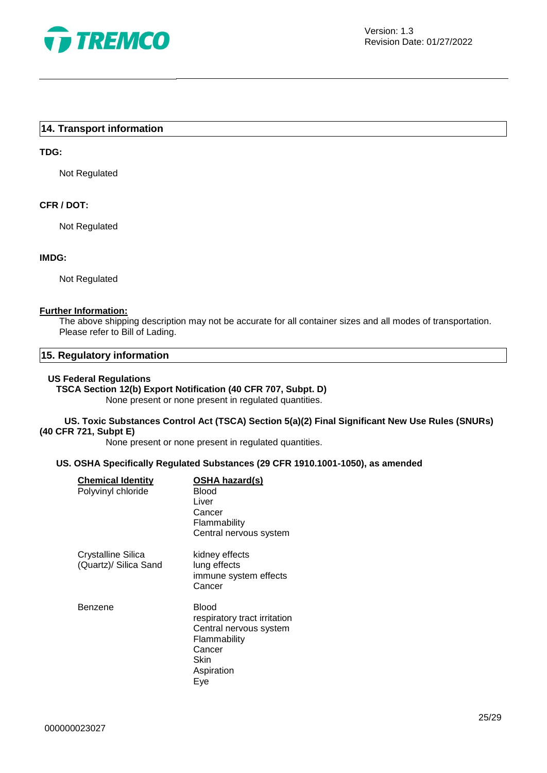

#### **14. Transport information**

#### **TDG:**

Not Regulated

#### **CFR / DOT:**

Not Regulated

#### **IMDG:**

Not Regulated

#### **Further Information:**

The above shipping description may not be accurate for all container sizes and all modes of transportation. Please refer to Bill of Lading.

#### **15. Regulatory information**

#### **US Federal Regulations**

## **TSCA Section 12(b) Export Notification (40 CFR 707, Subpt. D)**

None present or none present in regulated quantities.

#### **US. Toxic Substances Control Act (TSCA) Section 5(a)(2) Final Significant New Use Rules (SNURs) (40 CFR 721, Subpt E)**

None present or none present in regulated quantities.

#### **US. OSHA Specifically Regulated Substances (29 CFR 1910.1001-1050), as amended**

| <b>Chemical Identity</b><br>Polyvinyl chloride | OSHA hazard(s)<br>Blood<br>Liver<br>Cancer<br>Flammability<br>Central nervous system                                   |
|------------------------------------------------|------------------------------------------------------------------------------------------------------------------------|
| Crystalline Silica<br>(Quartz)/ Silica Sand    | kidney effects<br>lung effects<br>immune system effects<br>Cancer                                                      |
| Benzene                                        | Blood<br>respiratory tract irritation<br>Central nervous system<br>Flammability<br>Cancer<br>Skin<br>Aspiration<br>Eye |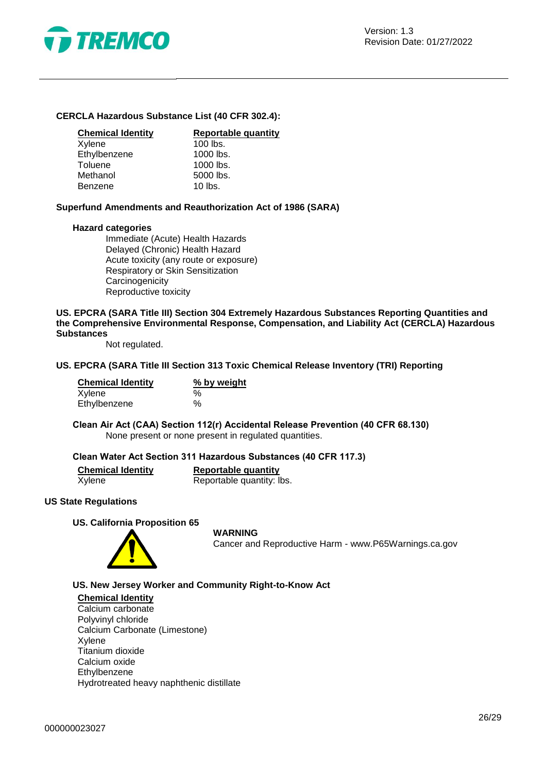

#### **CERCLA Hazardous Substance List (40 CFR 302.4):**

| <b>Chemical Identity</b> | Reportable quantity |
|--------------------------|---------------------|
| Xylene                   | $100$ lbs.          |
| Ethylbenzene             | 1000 lbs.           |
| Toluene                  | 1000 lbs.           |
| Methanol                 | 5000 lbs.           |
| <b>Benzene</b>           | $10$ lbs.           |

**Superfund Amendments and Reauthorization Act of 1986 (SARA)**

#### **Hazard categories**

Immediate (Acute) Health Hazards Delayed (Chronic) Health Hazard Acute toxicity (any route or exposure) Respiratory or Skin Sensitization **Carcinogenicity** Reproductive toxicity

#### **US. EPCRA (SARA Title III) Section 304 Extremely Hazardous Substances Reporting Quantities and the Comprehensive Environmental Response, Compensation, and Liability Act (CERCLA) Hazardous Substances**

Not regulated.

#### **US. EPCRA (SARA Title III Section 313 Toxic Chemical Release Inventory (TRI) Reporting**

| <b>Chemical Identity</b> | % by weight |  |  |
|--------------------------|-------------|--|--|
| Xylene                   | %           |  |  |
| Ethylbenzene             | $\%$        |  |  |

**Clean Air Act (CAA) Section 112(r) Accidental Release Prevention (40 CFR 68.130)** None present or none present in regulated quantities.

#### **Clean Water Act Section 311 Hazardous Substances (40 CFR 117.3)**

| <b>Chemical Identity</b> | Reportable quantity       |
|--------------------------|---------------------------|
| Xylene                   | Reportable quantity: lbs. |

#### **US State Regulations**

**US. California Proposition 65**



#### **WARNING**

Cancer and Reproductive Harm - www.P65Warnings.ca.gov

**US. New Jersey Worker and Community Right-to-Know Act**

#### **Chemical Identity**

Calcium carbonate Polyvinyl chloride Calcium Carbonate (Limestone) Xylene Titanium dioxide Calcium oxide Ethylbenzene Hydrotreated heavy naphthenic distillate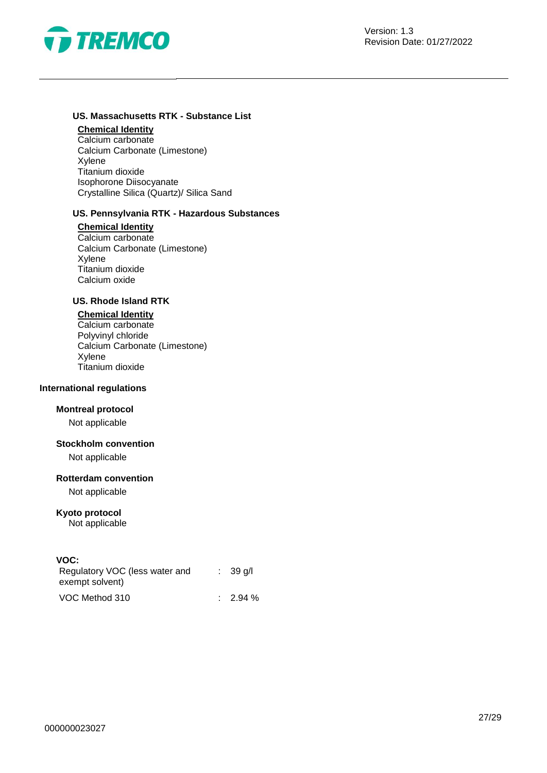

## **US. Massachusetts RTK - Substance List**

### **Chemical Identity**

Calcium carbonate Calcium Carbonate (Limestone) Xylene Titanium dioxide Isophorone Diisocyanate Crystalline Silica (Quartz)/ Silica Sand

#### **US. Pennsylvania RTK - Hazardous Substances**

#### **Chemical Identity**

Calcium carbonate Calcium Carbonate (Limestone) Xylene Titanium dioxide Calcium oxide

#### **US. Rhode Island RTK**

#### **Chemical Identity**

Calcium carbonate Polyvinyl chloride Calcium Carbonate (Limestone) Xylene Titanium dioxide

#### **International regulations**

#### **Montreal protocol**

Not applicable

#### **Stockholm convention**

Not applicable

#### **Rotterdam convention**

Not applicable

#### **Kyoto protocol**

Not applicable

#### **VOC:**

| Regulatory VOC (less water and<br>exempt solvent) |  | $\therefore$ 39 g/l |
|---------------------------------------------------|--|---------------------|
| VOC Method 310                                    |  | $\therefore$ 2.94 % |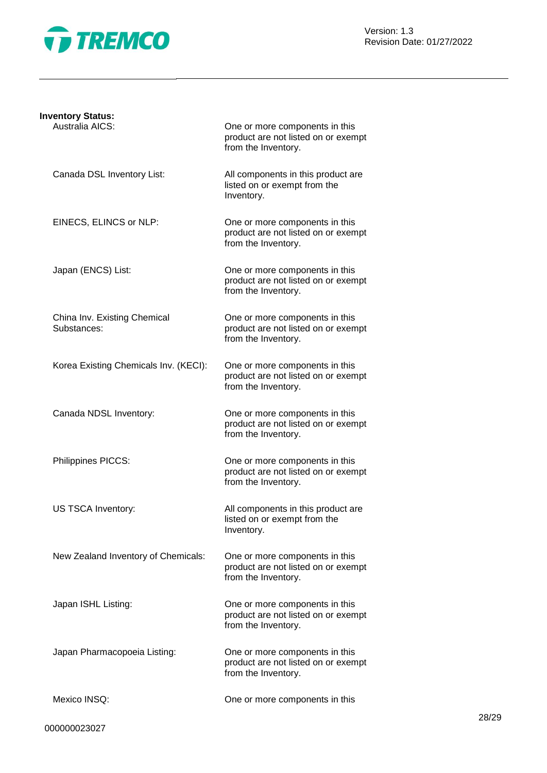

Version: 1.3 Revision Date: 01/27/2022

| <b>Inventory Status:</b>                    |                                                                                              |
|---------------------------------------------|----------------------------------------------------------------------------------------------|
| Australia AICS:                             | One or more components in this<br>product are not listed on or exempt<br>from the Inventory. |
| Canada DSL Inventory List:                  | All components in this product are<br>listed on or exempt from the<br>Inventory.             |
| EINECS, ELINCS or NLP:                      | One or more components in this<br>product are not listed on or exempt<br>from the Inventory. |
| Japan (ENCS) List:                          | One or more components in this<br>product are not listed on or exempt<br>from the Inventory. |
| China Inv. Existing Chemical<br>Substances: | One or more components in this<br>product are not listed on or exempt<br>from the Inventory. |
| Korea Existing Chemicals Inv. (KECI):       | One or more components in this<br>product are not listed on or exempt<br>from the Inventory. |
| Canada NDSL Inventory:                      | One or more components in this<br>product are not listed on or exempt<br>from the Inventory. |
| Philippines PICCS:                          | One or more components in this<br>product are not listed on or exempt<br>from the Inventory. |
| US TSCA Inventory:                          | All components in this product are<br>listed on or exempt from the<br>Inventory.             |
| New Zealand Inventory of Chemicals:         | One or more components in this<br>product are not listed on or exempt<br>from the Inventory. |
| Japan ISHL Listing:                         | One or more components in this<br>product are not listed on or exempt<br>from the Inventory. |
| Japan Pharmacopoeia Listing:                | One or more components in this<br>product are not listed on or exempt<br>from the Inventory. |
| Mexico INSQ:                                | One or more components in this                                                               |